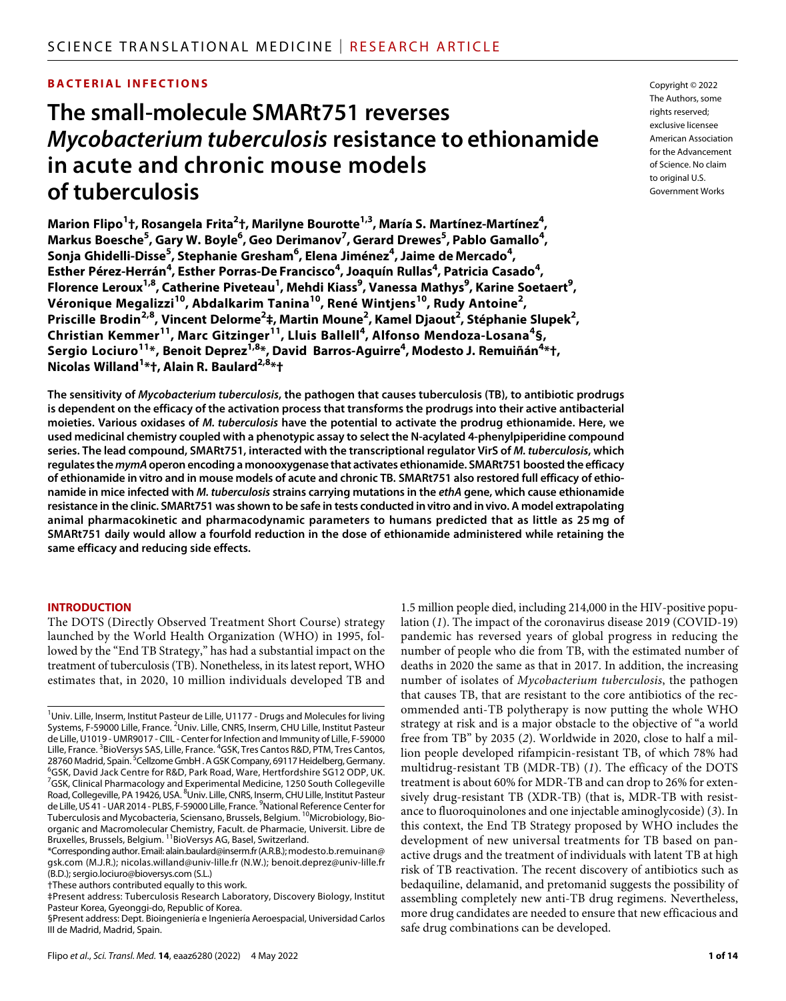### **BACTERIAL INFECTIONS**

# **The small-molecule SMARt751 reverses**  *Mycobacterium tuberculosis* **resistance to ethionamide in acute and chronic mouse models of tuberculosis**

Marion Flipo<sup>1</sup>†, Rosangela Frita<sup>2</sup>†, Marilyne Bourotte<sup>1,3</sup>, María S. Martínez-Martínez<sup>4</sup>, Markus Boesche<sup>5</sup>, Gary W. Boyle<sup>6</sup>, Geo Derimanov<sup>7</sup>, Gerard Drewes<sup>5</sup>, Pablo Gamallo<sup>4</sup>, **Sonja Ghidelli-Disse5 , Stephanie Gresham6 , Elena Jiménez4 , Jaime de Mercado4 , Esther Pérez-Herrán4 , Esther Porras-De Francisco4 , Joaquín Rullas4 , Patricia Casado4 , Florence Leroux1,8 , Catherine Piveteau1 , Mehdi Kiass9 , Vanessa Mathys9 , Karine Soetaert9 , Véronique Megalizzi10, Abdalkarim Tanina10, René Wintjens10, Rudy Antoine<sup>2</sup> , Priscille Brodin2,8 , Vincent Delorme2 ‡, Martin Moune2 , Kamel Djaout2 , Stéphanie Slupek2 , Christian Kemmer11, Marc Gitzinger11, Lluis Ballell<sup>4</sup> , Alfonso Mendoza-Losana<sup>4</sup> §, Sergio Lociuro11\*, Benoit Deprez1,8 \*, David Barros-Aguirre4 , Modesto J. Remuiñán4 \*†, Nicolas Willand1 \*†, Alain R. Baulard2,8 \*†**

**The sensitivity of** *Mycobacterium tuberculosis***, the pathogen that causes tuberculosis (TB), to antibiotic prodrugs is dependent on the efficacy of the activation process that transforms the prodrugs into their active antibacterial moieties. Various oxidases of** *M. tuberculosis* **have the potential to activate the prodrug ethionamide. Here, we used medicinal chemistry coupled with a phenotypic assay to select the N-acylated 4-phenylpiperidine compound series. The lead compound, SMARt751, interacted with the transcriptional regulator VirS of** *M. tuberculosis***, which regulates the** *mymA* **operon encoding a monooxygenase that activates ethionamide. SMARt751 boosted the efficacy of ethionamide in vitro and in mouse models of acute and chronic TB. SMARt751 also restored full efficacy of ethionamide in mice infected with** *M. tuberculosis* **strains carrying mutations in the** *ethA* **gene, which cause ethionamide resistance in the clinic. SMARt751 was shown to be safe in tests conducted invitro and invivo. A model extrapolating animal pharmacokinetic and pharmacodynamic parameters to humans predicted that as little as 25 mg of SMARt751 daily would allow a fourfold reduction in the dose of ethionamide administered while retaining the same efficacy and reducing side effects.**

#### **INTRODUCTION**

The DOTS (Directly Observed Treatment Short Course) strategy launched by the World Health Organization (WHO) in 1995, followed by the "End TB Strategy," has had a substantial impact on the treatment of tuberculosis (TB). Nonetheless, in its latest report, WHO estimates that, in 2020, 10 million individuals developed TB and

1.5 million people died, including 214,000 in the HIV-positive population (*1*). The impact of the coronavirus disease 2019 (COVID-19) pandemic has reversed years of global progress in reducing the number of people who die from TB, with the estimated number of deaths in 2020 the same as that in 2017. In addition, the increasing number of isolates of *Mycobacterium tuberculosis*, the pathogen that causes TB, that are resistant to the core antibiotics of the recommended anti-TB polytherapy is now putting the whole WHO strategy at risk and is a major obstacle to the objective of "a world free from TB" by 2035 (*2*). Worldwide in 2020, close to half a million people developed rifampicin-resistant TB, of which 78% had multidrug-resistant TB (MDR-TB) (*1*). The efficacy of the DOTS treatment is about 60% for MDR-TB and can drop to 26% for extensively drug-resistant TB (XDR-TB) (that is, MDR-TB with resistance to fluoroquinolones and one injectable aminoglycoside) (*3*). In this context, the End TB Strategy proposed by WHO includes the development of new universal treatments for TB based on panactive drugs and the treatment of individuals with latent TB at high risk of TB reactivation. The recent discovery of antibiotics such as bedaquiline, delamanid, and pretomanid suggests the possibility of assembling completely new anti-TB drug regimens. Nevertheless, more drug candidates are needed to ensure that new efficacious and safe drug combinations can be developed.

Copyright © 2022 The Authors, some rights reserved: exclusive licensee American Association for the Advancement of Science. No claim to original U.S. Government Works

<sup>&</sup>lt;sup>1</sup>Univ. Lille, Inserm, Institut Pasteur de Lille, U1177 - Drugs and Molecules for living Systems, F-59000 Lille, France. <sup>2</sup>Univ. Lille, CNRS, Inserm, CHU Lille, Institut Pasteur de Lille, U1019 - UMR9017 - CIIL - Center for Infection and Immunity of Lille, F-59000 Lille, France. <sup>3</sup>BioVersys SAS, Lille, France. <sup>4</sup>GSK, Tres Cantos R&D, PTM, Tres Cantos, 28760 Madrid, Spain. <sup>5</sup>Cellzome GmbH. A GSK Company, 69117 Heidelberg, Germany. 28760 Madrid, Spain. <sup>-</sup>Cellzome GmbH . A GSK Company, 69117 Heidelberg, Germany.<br><sup>6</sup>GSK, David Jack Centre for R&D, Park Road, Ware, Hertfordshire SG12 ODP, UK. <sup>7</sup>GSK, Clinical Pharmacology and Experimental Medicine, 1250 South Collegeville Road, Collegeville, PA 19426, USA. <sup>8</sup>Univ. Lille, CNRS, Inserm, CHU Lille, Institut Pasteur de Lille, US 41 - UAR 2014 - PLBS, F-59000 Lille, France. <sup>9</sup>National Reference Center for Tuberculosis and Mycobacteria, Sciensano, Brussels, Belgium. <sup>10</sup>Microbiology, Bioorganic and Macromolecular Chemistry, Facult. de Pharmacie, Universit. Libre de<br>Bruxelles, Brussels, Belgium. <sup>11</sup>BioVersys AG, Basel, Switzerland.

<sup>\*</sup>Corresponding author. Email: [alain.baulard@inserm.fr](mailto:alain.baulard@inserm.fr) (A.R.B.); [modesto.b.remuinan@](mailto:modesto.b.remuinan@gsk.com) [gsk.com](mailto:modesto.b.remuinan@gsk.com) (M.J.R.); [nicolas.willand@univ-lille.fr](mailto:nicolas.willand@univ-lille.fr) (N.W.); [benoit.deprez@univ-lille.fr](mailto:benoit.deprez@univ-lille.fr) (B.D.); [sergio.lociuro@bioversys.com](mailto:sergio.lociuro@bioversys.com) (S.L.)

<sup>†</sup>These authors contributed equally to this work.

<sup>‡</sup>Present address: Tuberculosis Research Laboratory, Discovery Biology, Institut Pasteur Korea, Gyeonggi-do, Republic of Korea.

<sup>§</sup>Present address: Dept. Bioingeniería e Ingeniería Aeroespacial, Universidad Carlos III de Madrid, Madrid, Spain.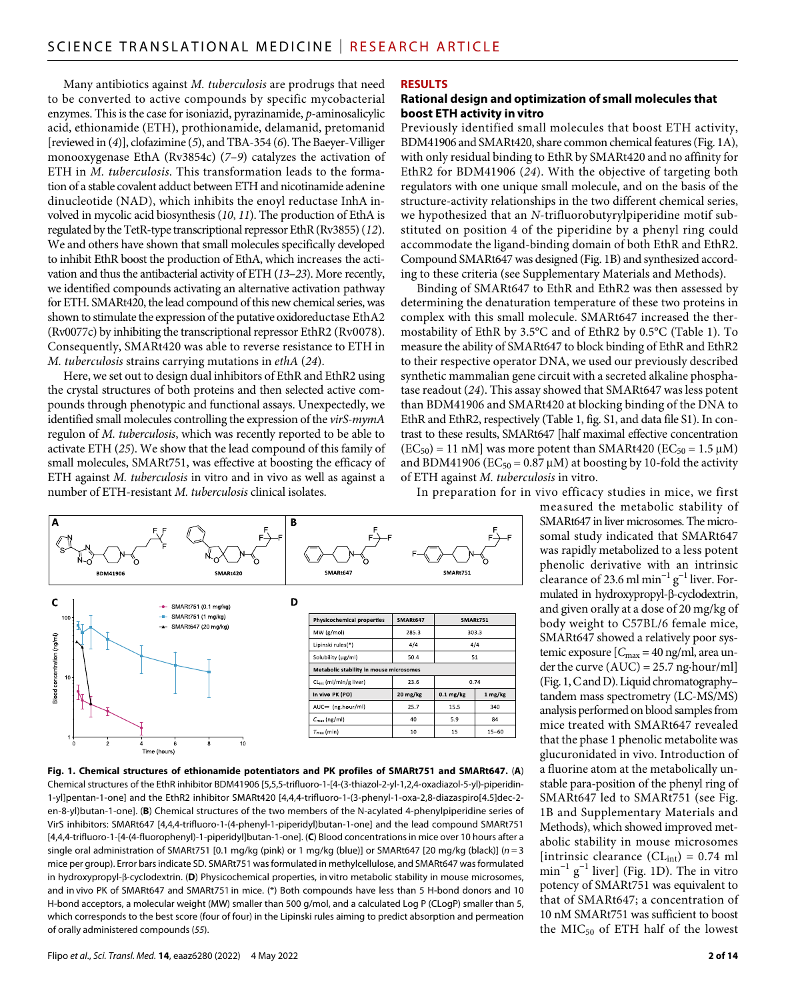Many antibiotics against *M. tuberculosis* are prodrugs that need to be converted to active compounds by specific mycobacterial enzymes. This is the case for isoniazid, pyrazinamide, *p*-aminosalicylic acid, ethionamide (ETH), prothionamide, delamanid, pretomanid [reviewed in (*4*)], clofazimine (*5*), and TBA-354 (*6*). The Baeyer-Villiger monooxygenase EthA (Rv3854c) (*7*–*9*) catalyzes the activation of ETH in *M. tuberculosis*. This transformation leads to the formation of a stable covalent adduct between ETH and nicotinamide adenine dinucleotide (NAD), which inhibits the enoyl reductase InhA involved in mycolic acid biosynthesis (*10*, *11*). The production of EthA is regulated by the TetR-type transcriptional repressor EthR (Rv3855) (*12*). We and others have shown that small molecules specifically developed to inhibit EthR boost the production of EthA, which increases the activation and thus the antibacterial activity of ETH (*13*–*23*). More recently, we identified compounds activating an alternative activation pathway for ETH. SMARt420, the lead compound of this new chemical series, was shown to stimulate the expression of the putative oxidoreductase EthA2 (Rv0077c) by inhibiting the transcriptional repressor EthR2 (Rv0078). Consequently, SMARt420 was able to reverse resistance to ETH in *M. tuberculosis* strains carrying mutations in *ethA* (*24*).

Here, we set out to design dual inhibitors of EthR and EthR2 using the crystal structures of both proteins and then selected active compounds through phenotypic and functional assays. Unexpectedly, we identified small molecules controlling the expression of the *virS-mymA* regulon of *M. tuberculosis*, which was recently reported to be able to activate ETH (*25*). We show that the lead compound of this family of small molecules, SMARt751, was effective at boosting the efficacy of ETH against *M. tuberculosis* in vitro and in vivo as well as against a number of ETH-resistant *M. tuberculosis* clinical isolates.

#### **RESULTS**

#### **Rational design and optimization of small molecules that boost ETH activity in vitro**

Previously identified small molecules that boost ETH activity, BDM41906 and SMARt420, share common chemical features (Fig. 1A), with only residual binding to EthR by SMARt420 and no affinity for EthR2 for BDM41906 (*24*). With the objective of targeting both regulators with one unique small molecule, and on the basis of the structure-activity relationships in the two different chemical series, we hypothesized that an *N*-trifluorobutyrylpiperidine motif substituted on position 4 of the piperidine by a phenyl ring could accommodate the ligand-binding domain of both EthR and EthR2. Compound SMARt647 was designed (Fig. 1B) and synthesized according to these criteria (see Supplementary Materials and Methods).

Binding of SMARt647 to EthR and EthR2 was then assessed by determining the denaturation temperature of these two proteins in complex with this small molecule. SMARt647 increased the thermostability of EthR by 3.5°C and of EthR2 by 0.5°C (Table 1). To measure the ability of SMARt647 to block binding of EthR and EthR2 to their respective operator DNA, we used our previously described synthetic mammalian gene circuit with a secreted alkaline phosphatase readout (*24*). This assay showed that SMARt647 was less potent than BDM41906 and SMARt420 at blocking binding of the DNA to EthR and EthR2, respectively (Table 1, fig. S1, and data file S1). In contrast to these results, SMARt647 [half maximal effective concentration  $(EC_{50}) = 11$  nM] was more potent than SMARt420 (EC<sub>50</sub> = 1.5 µM) and BDM41906 ( $EC_{50} = 0.87 \mu M$ ) at boosting by 10-fold the activity of ETH against *M. tuberculosis* in vitro.

**BDM41906** SMARt420 SMAR<sub>t647</sub> **SMAR+751** D C  $\rightarrow$  SMARt751 (0.1 mg/kg) SMARt751 (1 mg/kg) **Physicochemical properties** SMARt647 SMARt751 SMARt647 (20 mg/kg) 285.3 MW (g/mol) 303.3 Blood concentration (ng/ml)  $4/4$  $4/4$ Lipinski rules(\*) Solubility (µg/ml)  $50.4$  $51$ Metabolic stability in mouse micre somes CLint (ml/min/g liver)  $23.6$ 0.74 In vivo PK (PO) 20 mg/kg  $0.1 \text{ mg/kg}$  $1 \, \text{mg/kg}$ AUC∞ (ng.hour/ml) 25.7 15.5 340  $\bar{c}_m$  $5.9$ 84  $lne/ml$ 40  $T_{max}(min)$  $10$ 15  $15 - 60$ .<br>Time (hours)

**Fig. 1. Chemical structures of ethionamide potentiators and PK profiles of SMARt751 and SMARt647.** (**A**) Chemical structures of the EthR inhibitor BDM41906 [5,5,5-trifluoro-1-[4-(3-thiazol-2-yl-1,2,4-oxadiazol-5-yl)-piperidin-1-yl]pentan-1-one] and the EthR2 inhibitor SMARt420 [4,4,4-trifluoro-1-(3-phenyl-1-oxa-2,8-diazaspiro[4.5]dec-2 en-8-yl)butan-1-one]. (**B**) Chemical structures of the two members of the N-acylated 4-phenylpiperidine series of VirS inhibitors: SMARt647 [4,4,4-trifluoro-1-(4-phenyl-1-piperidyl)butan-1-one] and the lead compound SMARt751 [4,4,4-trifluoro-1-[4-(4-fluorophenyl)-1-piperidyl]butan-1-one]. (**C**) Blood concentrations in mice over 10 hours after a single oral administration of SMARt751 [0.1 mg/kg (pink) or 1 mg/kg (blue)] or SMARt647 [20 mg/kg (black)] (*n* = 3 mice per group). Error bars indicate SD. SMARt751 was formulated in methylcellulose, and SMARt647 was formulated in hydroxypropyl-ß-cyclodextrin. (D) Physicochemical properties, in vitro metabolic stability in mouse microsomes, and in vivo PK of SMARt647 and SMARt751 in mice. (\*) Both compounds have less than 5 H-bond donors and 10 H-bond acceptors, a molecular weight (MW) smaller than 500 g/mol, and a calculated Log P (CLogP) smaller than 5, which corresponds to the best score (four of four) in the Lipinski rules aiming to predict absorption and permeation of orally administered compounds (*55*).

In preparation for in vivo efficacy studies in mice, we first

measured the metabolic stability of SMARt647 in liver microsomes. The microsomal study indicated that SMARt647 was rapidly metabolized to a less potent phenolic derivative with an intrinsic clearance of 23.6 ml min<sup>-1</sup> g<sup>-1</sup> liver. Formulated in hydroxypropyl- $\beta$ -cyclodextrin, and given orally at a dose of 20 mg/kg of body weight to C57BL/6 female mice, SMARt647 showed a relatively poor systemic exposure  $[C_{\text{max}} = 40 \text{ ng/ml}, \text{area un-}$ der the curve  $(AUC) = 25.7$  ng $\cdot$ hour/ml] (Fig. 1, C and D). Liquid chromatography– tandem mass spectrometry (LC-MS/MS) analysis performed on blood samples from mice treated with SMARt647 revealed that the phase 1 phenolic metabolite was glucuronidated in vivo. Introduction of a fluorine atom at the metabolically unstable para-position of the phenyl ring of SMARt647 led to SMARt751 (see Fig. 1B and Supplementary Materials and Methods), which showed improved metabolic stability in mouse microsomes [intrinsic clearance  $CL_{int}$ ] = 0.74 ml  $min^{-1} g^{-1}$  liver] (Fig. 1D). The in vitro potency of SMARt751 was equivalent to that of SMARt647; a concentration of 10 nM SMARt751 was sufficient to boost the  $MIC<sub>50</sub>$  of ETH half of the lowest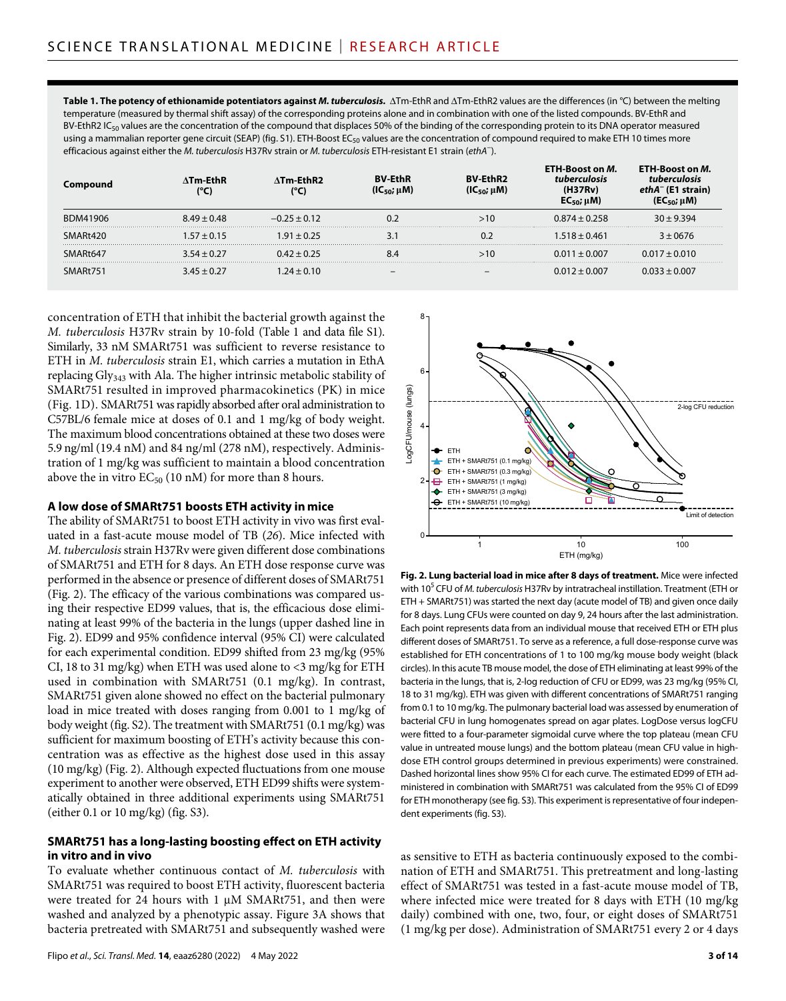Table 1. The potency of ethionamide potentiators against *M. tuberculosis*. ∆Tm-EthR and ∆Tm-EthR2 values are the differences (in °C) between the melting temperature (measured by thermal shift assay) of the corresponding proteins alone and in combination with one of the listed compounds. BV-EthR and BV-EthR2 IC<sub>50</sub> values are the concentration of the compound that displaces 50% of the binding of the corresponding protein to its DNA operator measured using a mammalian reporter gene circuit (SEAP) (fig. S1). ETH-Boost EC<sub>50</sub> values are the concentration of compound required to make ETH 10 times more efficacious against either the *M. tuberculosis* H37Rv strain or *M. tuberculosis* ETH-resistant E1 strain (*ethA*<sup>−</sup> ).

|                      | $\Lambda$ Tm-EthR | ATm-EthR2      | <b>BV-EthR</b><br>$(IC_{50};\mu M)$ | <b>BV-EthR2</b><br>$(IC_{50}; \mu M)$ | ETH-Boost on M.<br>tuberculosis<br>(H37Rv)<br>EC <sub>50</sub> ; սM) | <b>ETH-Boost on M.</b><br>culosis<br>$ethA^-$ (E1 strain)<br>$(EC50; \mu M)$ |
|----------------------|-------------------|----------------|-------------------------------------|---------------------------------------|----------------------------------------------------------------------|------------------------------------------------------------------------------|
| BDM41906             | $8.49 + 0.48$     | $-0.25 + 0.12$ |                                     | >10                                   | $0.874 + 0.258$                                                      | $30 + 9.394$                                                                 |
| SMAR <sub>t420</sub> | $1.57 + 0.15$     | $1.91 + 0.25$  |                                     |                                       | $1.518 + 0.461$                                                      | $3 + 0676$                                                                   |
| SMARt647             | $354 + 027$       | በ 42 + በ 25    | 8.4                                 | >10                                   | $0.011 \pm 0.007$                                                    | $0.017 \pm 0.010$                                                            |
| SMAR <sub>t751</sub> | $345 + 027$       | $1.24 + 0.10$  |                                     |                                       | $0.012 + 0.007$                                                      | $0.033 + 0.007$                                                              |

concentration of ETH that inhibit the bacterial growth against the *M. tuberculosis* H37Rv strain by 10-fold (Table 1 and data file S1). Similarly, 33 nM SMARt751 was sufficient to reverse resistance to ETH in *M. tuberculosis* strain E1, which carries a mutation in EthA replacing Gly343 with Ala. The higher intrinsic metabolic stability of SMARt751 resulted in improved pharmacokinetics (PK) in mice (Fig. 1D). SMARt751 was rapidly absorbed after oral administration to C57BL/6 female mice at doses of 0.1 and 1 mg/kg of body weight. The maximum blood concentrations obtained at these two doses were 5.9 ng/ml (19.4 nM) and 84 ng/ml (278 nM), respectively. Administration of 1 mg/kg was sufficient to maintain a blood concentration above the in vitro  $EC_{50}$  (10 nM) for more than 8 hours.

#### **A low dose of SMARt751 boosts ETH activity in mice**

The ability of SMARt751 to boost ETH activity in vivo was first evaluated in a fast-acute mouse model of TB (*26*). Mice infected with *M. tuberculosis* strain H37Rv were given different dose combinations of SMARt751 and ETH for 8 days. An ETH dose response curve was performed in the absence or presence of different doses of SMARt751 (Fig. 2). The efficacy of the various combinations was compared using their respective ED99 values, that is, the efficacious dose eliminating at least 99% of the bacteria in the lungs (upper dashed line in Fig. 2). ED99 and 95% confidence interval (95% CI) were calculated for each experimental condition. ED99 shifted from 23 mg/kg (95% CI, 18 to 31 mg/kg) when ETH was used alone to <3 mg/kg for ETH used in combination with SMARt751 (0.1 mg/kg). In contrast, SMARt751 given alone showed no effect on the bacterial pulmonary load in mice treated with doses ranging from 0.001 to 1 mg/kg of body weight (fig. S2). The treatment with SMARt751 (0.1 mg/kg) was sufficient for maximum boosting of ETH's activity because this concentration was as effective as the highest dose used in this assay (10 mg/kg) (Fig. 2). Although expected fluctuations from one mouse experiment to another were observed, ETH ED99 shifts were systematically obtained in three additional experiments using SMARt751 (either 0.1 or 10 mg/kg) (fig. S3).

#### **SMARt751 has a long-lasting boosting effect on ETH activity in vitro and in vivo**

To evaluate whether continuous contact of *M. tuberculosis* with SMARt751 was required to boost ETH activity, fluorescent bacteria were treated for 24 hours with 1  $\mu$ M SMARt751, and then were washed and analyzed by a phenotypic assay. Figure 3A shows that bacteria pretreated with SMARt751 and subsequently washed were



**Fig. 2. Lung bacterial load in mice after 8 days of treatment.** Mice were infected with 105 CFU of *M. tuberculosis* H37Rv by intratracheal instillation. Treatment (ETH or ETH + SMARt751) was started the next day (acute model of TB) and given once daily for 8 days. Lung CFUs were counted on day 9, 24 hours after the last administration. Each point represents data from an individual mouse that received ETH or ETH plus different doses of SMARt751. To serve as a reference, a full dose-response curve was established for ETH concentrations of 1 to 100 mg/kg mouse body weight (black circles). In this acute TB mouse model, the dose of ETH eliminating at least 99% of the bacteria in the lungs, that is, 2-log reduction of CFU or ED99, was 23 mg/kg (95% CI, 18 to 31 mg/kg). ETH was given with different concentrations of SMARt751 ranging from 0.1 to 10 mg/kg. The pulmonary bacterial load was assessed by enumeration of bacterial CFU in lung homogenates spread on agar plates. LogDose versus logCFU were fitted to a four-parameter sigmoidal curve where the top plateau (mean CFU value in untreated mouse lungs) and the bottom plateau (mean CFU value in highdose ETH control groups determined in previous experiments) were constrained. Dashed horizontal lines show 95% CI for each curve. The estimated ED99 of ETH administered in combination with SMARt751 was calculated from the 95% CI of ED99 for ETH monotherapy (see fig. S3). This experiment is representative of four independent experiments (fig. S3).

as sensitive to ETH as bacteria continuously exposed to the combination of ETH and SMARt751. This pretreatment and long-lasting effect of SMARt751 was tested in a fast-acute mouse model of TB, where infected mice were treated for 8 days with ETH (10 mg/kg daily) combined with one, two, four, or eight doses of SMARt751 (1 mg/kg per dose). Administration of SMARt751 every 2 or 4 days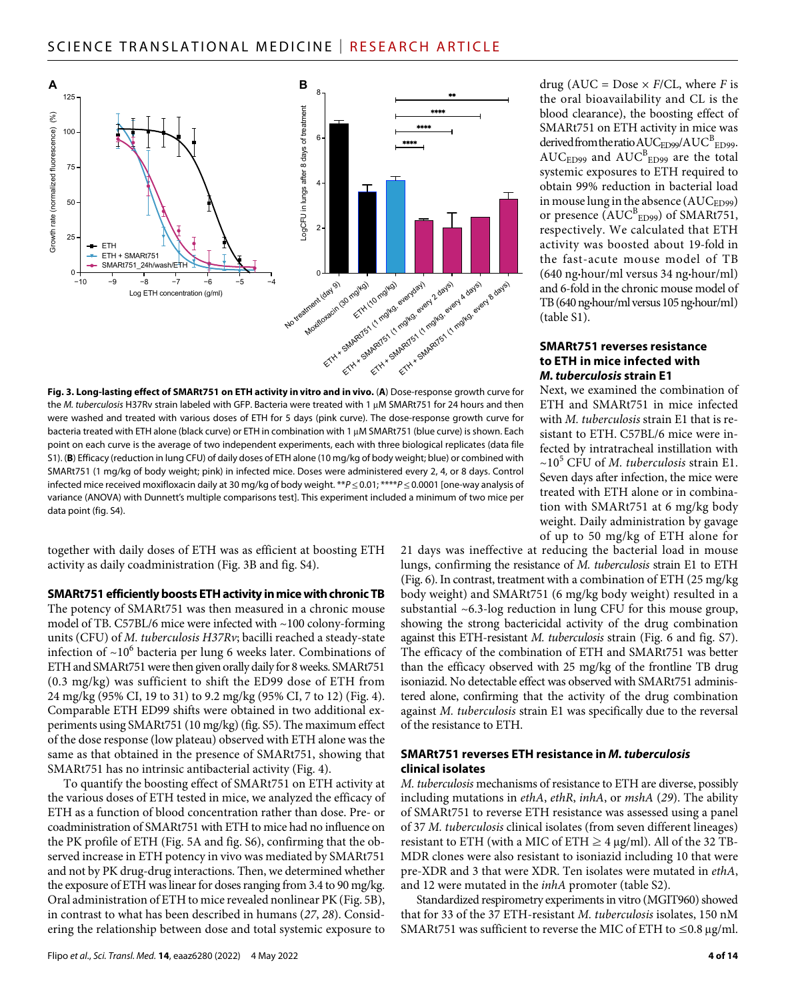

**Fig. 3. Long-lasting effect of SMARt751 on ETH activity in vitro and in vivo.** (**A**) Dose-response growth curve for the *M. tuberculosis* H37Rv strain labeled with GFP. Bacteria were treated with 1 µM SMARt751 for 24 hours and then were washed and treated with various doses of ETH for 5 days (pink curve). The dose-response growth curve for bacteria treated with ETH alone (black curve) or ETH in combination with 1 µM SMARt751 (blue curve) is shown. Each point on each curve is the average of two independent experiments, each with three biological replicates (data file S1). (**B**) Efficacy (reduction in lung CFU) of daily doses of ETH alone (10 mg/kg of body weight; blue) or combined with SMARt751 (1 mg/kg of body weight; pink) in infected mice. Doses were administered every 2, 4, or 8 days. Control infected mice received moxifloxacin daily at 30 mg/kg of body weight. \*\**P* ≤ 0.01; \*\*\*\**P* ≤ 0.0001 [one-way analysis of variance (ANOVA) with Dunnett's multiple comparisons test]. This experiment included a minimum of two mice per data point (fig. S4).

together with daily doses of ETH was as efficient at boosting ETH activity as daily coadministration (Fig. 3B and fig. S4).

**SMARt751 efficiently boosts ETH activity in mice with chronic TB** 

The potency of SMARt751 was then measured in a chronic mouse model of TB. C57BL/6 mice were infected with ~100 colony-forming units (CFU) of *M. tuberculosis H37Rv*; bacilli reached a steady-state infection of  $\sim\!\!10^6$  bacteria per lung 6 weeks later. Combinations of ETH and SMARt751 were then given orally daily for 8 weeks. SMARt751 (0.3 mg/kg) was sufficient to shift the ED99 dose of ETH from 24 mg/kg (95% CI, 19 to 31) to 9.2 mg/kg (95% CI, 7 to 12) (Fig. 4). Comparable ETH ED99 shifts were obtained in two additional experiments using SMARt751 (10 mg/kg) (fig. S5). The maximum effect of the dose response (low plateau) observed with ETH alone was the same as that obtained in the presence of SMARt751, showing that SMARt751 has no intrinsic antibacterial activity (Fig. 4).

To quantify the boosting effect of SMARt751 on ETH activity at the various doses of ETH tested in mice, we analyzed the efficacy of ETH as a function of blood concentration rather than dose. Pre- or coadministration of SMARt751 with ETH to mice had no influence on the PK profile of ETH (Fig. 5A and fig. S6), confirming that the observed increase in ETH potency in vivo was mediated by SMARt751 and not by PK drug-drug interactions. Then, we determined whether the exposure of ETH was linear for doses ranging from 3.4 to 90 mg/kg. Oral administration of ETH to mice revealed nonlinear PK (Fig. 5B), in contrast to what has been described in humans (*27*, *28*). Considering the relationship between dose and total systemic exposure to

drug (AUC = Dose  $\times$  *F*/CL, where *F* is the oral bioavailability and CL is the blood clearance), the boosting effect of SMARt751 on ETH activity in mice was derived from the ratio  $\text{AUC}_{\text{ED99}}/\text{AUC}^{\text{B}}$ <sub>ED99</sub>.  $\text{AUC}_{\text{ED99}}$  and  $\text{AUC}_{\text{ED99}}^{\text{B}}$  are the total systemic exposures to ETH required to obtain 99% reduction in bacterial load in mouse lung in the absence (AUC<sub>ED99</sub>) or presence  $(AUC^B_{ED99})$  of SMARt751, respectively. We calculated that ETH activity was boosted about 19-fold in the fast-acute mouse model of TB (640 ng**·**hour/ml versus 34 ng**·**hour/ml) and 6-fold in the chronic mouse model of TB (640 ng**·**hour/ml versus 105 ng**·**hour/ml) (table S1).

#### **SMARt751 reverses resistance to ETH in mice infected with**  *M. tuberculosis* **strain E1**

Next, we examined the combination of ETH and SMARt751 in mice infected with *M. tuberculosis* strain E1 that is resistant to ETH. C57BL/6 mice were infected by intratracheal instillation with  $\sim$ 10<sup>5</sup> CFU of *M. tuberculosis* strain E1. Seven days after infection, the mice were treated with ETH alone or in combination with SMARt751 at 6 mg/kg body weight. Daily administration by gavage of up to 50 mg/kg of ETH alone for

21 days was ineffective at reducing the bacterial load in mouse lungs, confirming the resistance of *M. tuberculosis* strain E1 to ETH (Fig. 6). In contrast, treatment with a combination of ETH (25 mg/kg body weight) and SMARt751 (6 mg/kg body weight) resulted in a substantial ~6.3-log reduction in lung CFU for this mouse group, showing the strong bactericidal activity of the drug combination against this ETH-resistant *M. tuberculosis* strain (Fig. 6 and fig. S7). The efficacy of the combination of ETH and SMARt751 was better than the efficacy observed with 25 mg/kg of the frontline TB drug isoniazid. No detectable effect was observed with SMARt751 administered alone, confirming that the activity of the drug combination against *M. tuberculosis* strain E1 was specifically due to the reversal of the resistance to ETH.

#### **SMARt751 reverses ETH resistance in** *M. tuberculosis* **clinical isolates**

*M. tuberculosis* mechanisms of resistance to ETH are diverse, possibly including mutations in *ethA*, *ethR*, *inhA*, or *mshA* (*29*). The ability of SMARt751 to reverse ETH resistance was assessed using a panel of 37 *M. tuberculosis* clinical isolates (from seven different lineages) resistant to ETH (with a MIC of ETH  $\geq 4$  µg/ml). All of the 32 TB-MDR clones were also resistant to isoniazid including 10 that were pre-XDR and 3 that were XDR. Ten isolates were mutated in *ethA*, and 12 were mutated in the *inhA* promoter (table S2).

Standardized respirometry experiments in vitro (MGIT960) showed that for 33 of the 37 ETH-resistant *M. tuberculosis* isolates, 150 nM SMARt751 was sufficient to reverse the MIC of ETH to  $\leq$ 0.8 µg/ml.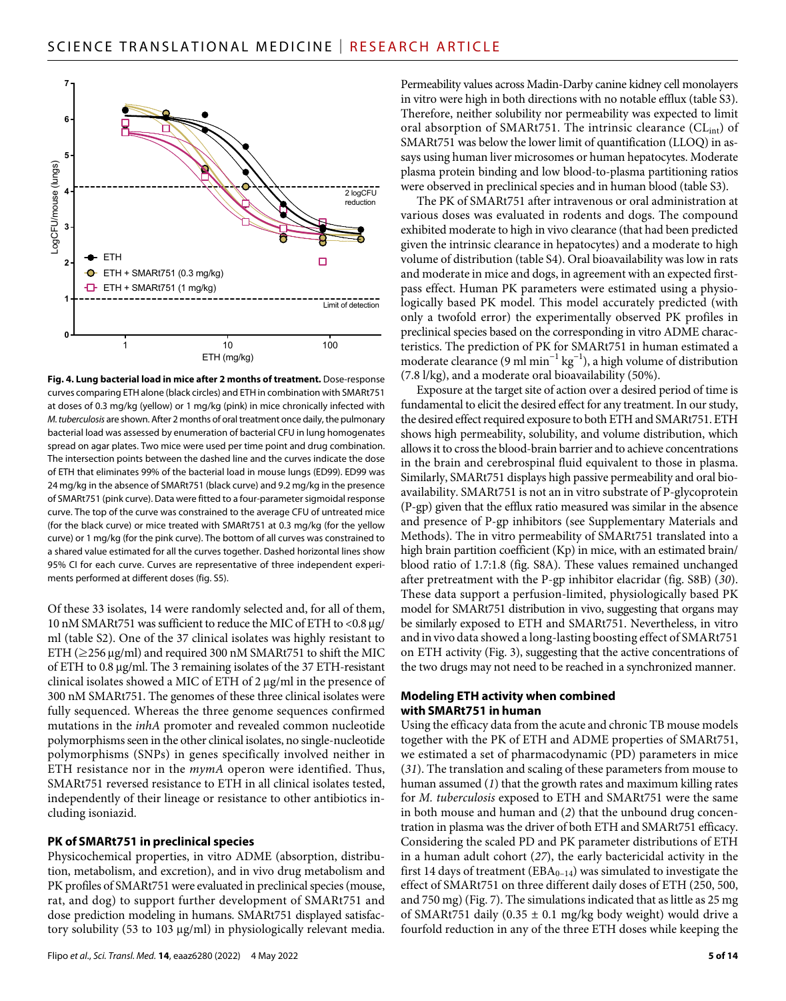

**Fig. 4. Lung bacterial load in mice after 2 months of treatment.** Dose-response curves comparing ETH alone (black circles) and ETH in combination with SMARt751 at doses of 0.3 mg/kg (yellow) or 1 mg/kg (pink) in mice chronically infected with *M. tuberculosis* are shown. After 2 months of oral treatment once daily, the pulmonary bacterial load was assessed by enumeration of bacterial CFU in lung homogenates spread on agar plates. Two mice were used per time point and drug combination. The intersection points between the dashed line and the curves indicate the dose of ETH that eliminates 99% of the bacterial load in mouse lungs (ED99). ED99 was 24 mg/kg in the absence of SMARt751 (black curve) and 9.2 mg/kg in the presence of SMARt751 (pink curve). Data were fitted to a four-parameter sigmoidal response curve. The top of the curve was constrained to the average CFU of untreated mice (for the black curve) or mice treated with SMARt751 at 0.3 mg/kg (for the yellow curve) or 1 mg/kg (for the pink curve). The bottom of all curves was constrained to a shared value estimated for all the curves together. Dashed horizontal lines show 95% CI for each curve. Curves are representative of three independent experiments performed at different doses (fig. S5).

Of these 33 isolates, 14 were randomly selected and, for all of them, 10 nM SMARt751 was sufficient to reduce the MIC of ETH to <0.8 µg/ ml (table S2). One of the 37 clinical isolates was highly resistant to ETH ( $\geq$ 256 µg/ml) and required 300 nM SMARt751 to shift the MIC of ETH to 0.8 µg/ml. The 3 remaining isolates of the 37 ETH-resistant clinical isolates showed a MIC of ETH of 2  $\mu$ g/ml in the presence of 300 nM SMARt751. The genomes of these three clinical isolates were fully sequenced. Whereas the three genome sequences confirmed mutations in the *inhA* promoter and revealed common nucleotide polymorphisms seen in the other clinical isolates, no single-nucleotide polymorphisms (SNPs) in genes specifically involved neither in ETH resistance nor in the *mymA* operon were identified. Thus, SMARt751 reversed resistance to ETH in all clinical isolates tested, independently of their lineage or resistance to other antibiotics including isoniazid.

#### **PK of SMARt751 in preclinical species**

Physicochemical properties, in vitro ADME (absorption, distribution, metabolism, and excretion), and in vivo drug metabolism and PK profiles of SMARt751 were evaluated in preclinical species (mouse, rat, and dog) to support further development of SMARt751 and dose prediction modeling in humans. SMARt751 displayed satisfactory solubility (53 to 103 µg/ml) in physiologically relevant media. Permeability values across Madin-Darby canine kidney cell monolayers in vitro were high in both directions with no notable efflux (table S3). Therefore, neither solubility nor permeability was expected to limit oral absorption of SMARt751. The intrinsic clearance  $CL<sub>int</sub>$  of SMARt751 was below the lower limit of quantification (LLOQ) in assays using human liver microsomes or human hepatocytes. Moderate plasma protein binding and low blood-to-plasma partitioning ratios were observed in preclinical species and in human blood (table S3).

The PK of SMARt751 after intravenous or oral administration at various doses was evaluated in rodents and dogs. The compound exhibited moderate to high in vivo clearance (that had been predicted given the intrinsic clearance in hepatocytes) and a moderate to high volume of distribution (table S4). Oral bioavailability was low in rats and moderate in mice and dogs, in agreement with an expected firstpass effect. Human PK parameters were estimated using a physiologically based PK model. This model accurately predicted (with only a twofold error) the experimentally observed PK profiles in preclinical species based on the corresponding in vitro ADME characteristics. The prediction of PK for SMARt751 in human estimated a moderate clearance (9 ml min−1 kg−1), a high volume of distribution (7.8 l/kg), and a moderate oral bioavailability (50%).

Exposure at the target site of action over a desired period of time is fundamental to elicit the desired effect for any treatment. In our study, the desired effect required exposure to both ETH and SMARt751. ETH shows high permeability, solubility, and volume distribution, which allows it to cross the blood-brain barrier and to achieve concentrations in the brain and cerebrospinal fluid equivalent to those in plasma. Similarly, SMARt751 displays high passive permeability and oral bioavailability. SMARt751 is not an in vitro substrate of P-glycoprotein (P-gp) given that the efflux ratio measured was similar in the absence and presence of P-gp inhibitors (see Supplementary Materials and Methods). The in vitro permeability of SMARt751 translated into a high brain partition coefficient (Kp) in mice, with an estimated brain/ blood ratio of 1.7:1.8 (fig. S8A). These values remained unchanged after pretreatment with the P-gp inhibitor elacridar (fig. S8B) (*30*). These data support a perfusion-limited, physiologically based PK model for SMARt751 distribution in vivo, suggesting that organs may be similarly exposed to ETH and SMARt751. Nevertheless, in vitro and in vivo data showed a long-lasting boosting effect of SMARt751 on ETH activity (Fig. 3), suggesting that the active concentrations of the two drugs may not need to be reached in a synchronized manner.

#### **Modeling ETH activity when combined with SMARt751 in human**

Using the efficacy data from the acute and chronic TB mouse models together with the PK of ETH and ADME properties of SMARt751, we estimated a set of pharmacodynamic (PD) parameters in mice (*31*). The translation and scaling of these parameters from mouse to human assumed (*1*) that the growth rates and maximum killing rates for *M. tuberculosis* exposed to ETH and SMARt751 were the same in both mouse and human and (*2*) that the unbound drug concentration in plasma was the driver of both ETH and SMARt751 efficacy. Considering the scaled PD and PK parameter distributions of ETH in a human adult cohort (*27*), the early bactericidal activity in the first 14 days of treatment ( $EBA<sub>0-14</sub>$ ) was simulated to investigate the effect of SMARt751 on three different daily doses of ETH (250, 500, and 750 mg) (Fig. 7). The simulations indicated that as little as 25 mg of SMARt751 daily (0.35  $\pm$  0.1 mg/kg body weight) would drive a fourfold reduction in any of the three ETH doses while keeping the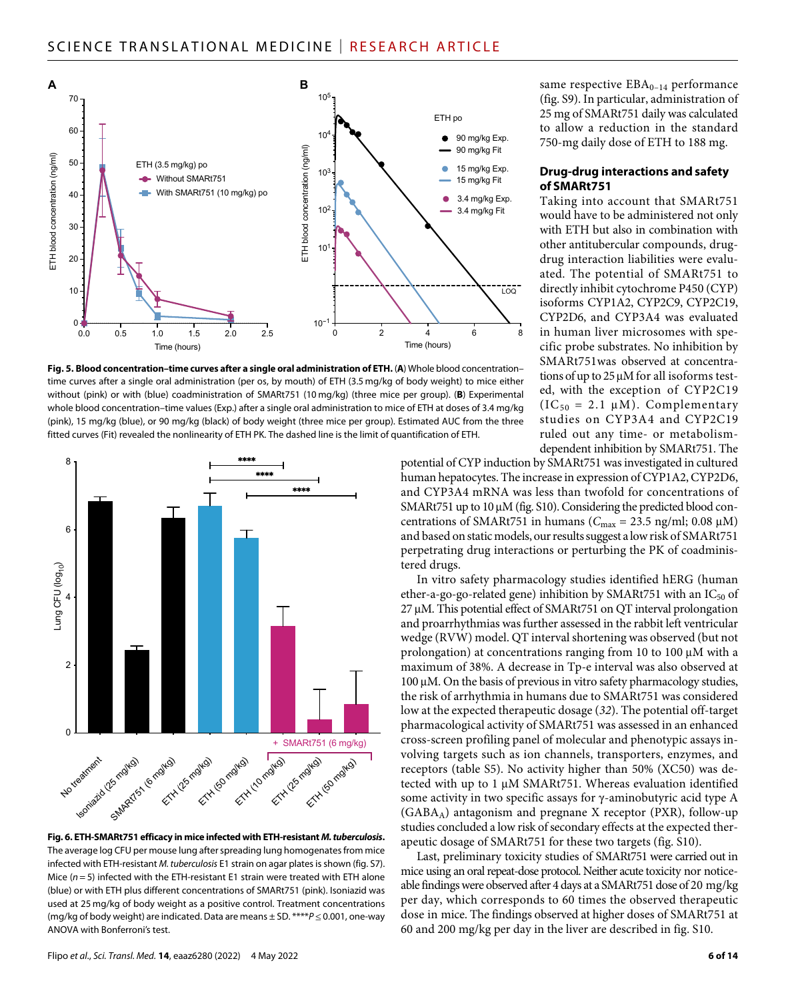

**Fig. 5. Blood concentration–time curves after a single oral administration of ETH.** (**A**) Whole blood concentration– time curves after a single oral administration (per os, by mouth) of ETH (3.5 mg/kg of body weight) to mice either without (pink) or with (blue) coadministration of SMARt751 (10 mg/kg) (three mice per group). (**B**) Experimental whole blood concentration–time values (Exp.) after a single oral administration to mice of ETH at doses of 3.4 mg/kg (pink), 15 mg/kg (blue), or 90 mg/kg (black) of body weight (three mice per group). Estimated AUC from the three fitted curves (Fit) revealed the nonlinearity of ETH PK. The dashed line is the limit of quantification of ETH.



**Fig. 6. ETH-SMARt751 efficacy in mice infected with ETH-resistant** *M. tuberculosis***.** The average log CFU per mouse lung after spreading lung homogenates from mice infected with ETH-resistant *M. tuberculosis* E1 strain on agar plates is shown (fig. S7). Mice (*n* = 5) infected with the ETH-resistant E1 strain were treated with ETH alone (blue) or with ETH plus different concentrations of SMARt751 (pink). Isoniazid was used at 25 mg/kg of body weight as a positive control. Treatment concentrations (mg/kg of body weight) are indicated. Data are means ± SD. \*\*\*\**P* ≤ 0.001, one-way ANOVA with Bonferroni's test.

same respective  $EBA<sub>0-14</sub>$  performance (fig. S9). In particular, administration of 25 mg of SMARt751 daily was calculated to allow a reduction in the standard 750-mg daily dose of ETH to 188 mg.

#### **Drug-drug interactions and safety of SMARt751**

Taking into account that SMARt751 would have to be administered not only with ETH but also in combination with other antitubercular compounds, drugdrug interaction liabilities were evaluated. The potential of SMARt751 to directly inhibit cytochrome P450 (CYP) isoforms CYP1A2, CYP2C9, CYP2C19, CYP2D6, and CYP3A4 was evaluated in human liver microsomes with specific probe substrates. No inhibition by SMARt751was observed at concentrations of up to  $25 \mu M$  for all isoforms tested, with the exception of CYP2C19  $(IC_{50} = 2.1 \mu M)$ . Complementary studies on CYP3A4 and CYP2C19 ruled out any time- or metabolismdependent inhibition by SMARt751. The

potential of CYP induction by SMARt751 was investigated in cultured human hepatocytes. The increase in expression of CYP1A2, CYP2D6, and CYP3A4 mRNA was less than twofold for concentrations of SMARt751 up to  $10 \mu$ M (fig. S10). Considering the predicted blood concentrations of SMARt751 in humans ( $C_{\text{max}} = 23.5$  ng/ml; 0.08  $\mu$ M) and based on static models, our results suggest a low risk of SMARt751 perpetrating drug interactions or perturbing the PK of coadministered drugs.

In vitro safety pharmacology studies identified hERG (human ether-a-go-go-related gene) inhibition by SMARt751 with an  $IC_{50}$  of 27 µM. This potential effect of SMARt751 on QT interval prolongation and proarrhythmias was further assessed in the rabbit left ventricular wedge (RVW) model. QT interval shortening was observed (but not prolongation) at concentrations ranging from 10 to 100  $\mu$ M with a maximum of 38%. A decrease in Tp-e interval was also observed at 100 M. On the basis of previous in vitro safety pharmacology studies, the risk of arrhythmia in humans due to SMARt751 was considered low at the expected therapeutic dosage (*32*). The potential off-target pharmacological activity of SMARt751 was assessed in an enhanced cross-screen profiling panel of molecular and phenotypic assays involving targets such as ion channels, transporters, enzymes, and receptors (table S5). No activity higher than 50% (XC50) was detected with up to  $1 \mu M$  SMARt751. Whereas evaluation identified some activity in two specific assays for  $\gamma$ -aminobutyric acid type A (GABAA) antagonism and pregnane X receptor (PXR), follow-up studies concluded a low risk of secondary effects at the expected therapeutic dosage of SMARt751 for these two targets (fig. S10).

Last, preliminary toxicity studies of SMARt751 were carried out in mice using an oral repeat-dose protocol. Neither acute toxicity nor noticeable findings were observed after 4 days at a SMARt751 dose of 20 mg/kg per day, which corresponds to 60 times the observed therapeutic dose in mice. The findings observed at higher doses of SMARt751 at 60 and 200 mg/kg per day in the liver are described in fig. S10.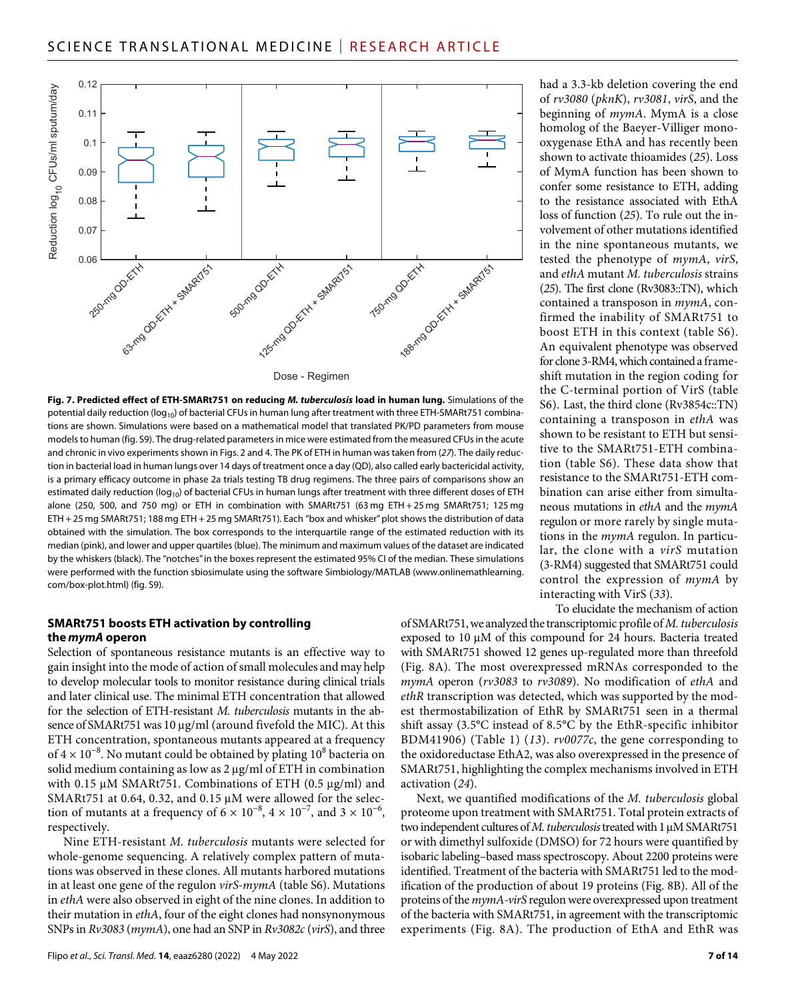

**Fig. 7. Predicted effect of ETH-SMARt751 on reducing** *M. tuberculosis* **load in human lung.** Simulations of the potential daily reduction ( $log_{10}$ ) of bacterial CFUs in human lung after treatment with three ETH-SMARt751 combinations are shown. Simulations were based on a mathematical model that translated PK/PD parameters from mouse models to human (fig. S9). The drug-related parameters in mice were estimated from the measured CFUs in the acute and chronic in vivo experiments shown in Figs. 2 and 4. The PK of ETH in human was taken from (*27*). The daily reduction in bacterial load in human lungs over 14 days of treatment once a day (QD), also called early bactericidal activity, is a primary efficacy outcome in phase 2a trials testing TB drug regimens. The three pairs of comparisons show an estimated daily reduction (log<sub>10</sub>) of bacterial CFUs in human lungs after treatment with three different doses of ETH alone (250, 500, and 750 mg) or ETH in combination with SMARt751 (63 mg ETH + 25 mg SMARt751; 125 mg ETH + 25 mg SMARt751; 188 mg ETH + 25 mg SMARt751). Each "box and whisker" plot shows the distribution of data obtained with the simulation. The box corresponds to the interquartile range of the estimated reduction with its median (pink), and lower and upper quartiles (blue). The minimum and maximum values of the dataset are indicated by the whiskers (black). The "notches" in the boxes represent the estimated 95% CI of the median. These simulations were performed with the function sbiosimulate using the software Simbiology/MATLAB [\(www.onlinemathlearning.](http://www.onlinemathlearning.com/box-plot.html) [com/box-plot.html](http://www.onlinemathlearning.com/box-plot.html)) (fig. S9).

#### **SMARt751 boosts ETH activation by controlling the** *mymA* **operon**

Selection of spontaneous resistance mutants is an effective way to gain insight into the mode of action of small molecules and may help to develop molecular tools to monitor resistance during clinical trials and later clinical use. The minimal ETH concentration that allowed for the selection of ETH-resistant *M. tuberculosis* mutants in the absence of SMARt751 was 10 µg/ml (around fivefold the MIC). At this ETH concentration, spontaneous mutants appeared at a frequency of 4  $\times$  10 $^{-8}$ . No mutant could be obtained by plating 10 $^{8}$  bacteria on solid medium containing as low as  $2 \mu g/ml$  of ETH in combination with 0.15  $\mu$ M SMARt751. Combinations of ETH (0.5  $\mu$ g/ml) and SMARt751 at 0.64, 0.32, and 0.15  $\mu$ M were allowed for the selection of mutants at a frequency of  $6 \times 10^{-8}$ ,  $4 \times 10^{-7}$ , and  $3 \times 10^{-6}$ , respectively.

Nine ETH-resistant *M. tuberculosis* mutants were selected for whole-genome sequencing. A relatively complex pattern of mutations was observed in these clones. All mutants harbored mutations in at least one gene of the regulon *virS-mymA* (table S6). Mutations in *ethA* were also observed in eight of the nine clones. In addition to their mutation in *ethA*, four of the eight clones had nonsynonymous SNPs in *Rv3083* (*mymA*), one had an SNP in *Rv3082c* (*virS*), and three

had a 3.3-kb deletion covering the end of *rv3080* (*pknK*), *rv3081*, *virS*, and the beginning of *mymA*. MymA is a close homolog of the Baeyer-Villiger monooxygenase EthA and has recently been shown to activate thioamides (*25*). Loss of MymA function has been shown to confer some resistance to ETH, adding to the resistance associated with EthA loss of function (*25*). To rule out the involvement of other mutations identified in the nine spontaneous mutants, we tested the phenotype of *mymA*, *virS*, and *ethA* mutant *M. tuberculosis* strains (*25*). The first clone (Rv3083::TN), which contained a transposon in *mymA*, confirmed the inability of SMARt751 to boost ETH in this context (table S6). An equivalent phenotype was observed for clone 3-RM4, which contained a frameshift mutation in the region coding for the C-terminal portion of VirS (table S6). Last, the third clone (Rv3854c::TN) containing a transposon in *ethA* was shown to be resistant to ETH but sensitive to the SMARt751-ETH combination (table S6). These data show that resistance to the SMARt751-ETH combination can arise either from simultaneous mutations in *ethA* and the *mymA* regulon or more rarely by single mutations in the *mymA* regulon. In particular, the clone with a *virS* mutation (3-RM4) suggested that SMARt751 could control the expression of *mymA* by interacting with VirS (*33*).

To elucidate the mechanism of action

of SMARt751, we analyzed the transcriptomic profile of *M. tuberculosis* exposed to 10 µM of this compound for 24 hours. Bacteria treated with SMARt751 showed 12 genes up-regulated more than threefold (Fig. 8A). The most overexpressed mRNAs corresponded to the *mymA* operon (*rv3083* to *rv3089*). No modification of *ethA* and *ethR* transcription was detected, which was supported by the modest thermostabilization of EthR by SMARt751 seen in a thermal shift assay (3.5°C instead of 8.5°C by the EthR-specific inhibitor BDM41906) (Table 1) (*13*). *rv0077c*, the gene corresponding to the oxidoreductase EthA2, was also overexpressed in the presence of SMARt751, highlighting the complex mechanisms involved in ETH activation (*24*).

Next, we quantified modifications of the *M. tuberculosis* global proteome upon treatment with SMARt751. Total protein extracts of two independent cultures of *M. tuberculosis* treated with 1 µM SMARt751 or with dimethyl sulfoxide (DMSO) for 72 hours were quantified by isobaric labeling–based mass spectroscopy. About 2200 proteins were identified. Treatment of the bacteria with SMARt751 led to the modification of the production of about 19 proteins (Fig. 8B). All of the proteins of the *mymA-virS* regulon were overexpressed upon treatment of the bacteria with SMARt751, in agreement with the transcriptomic experiments (Fig. 8A). The production of EthA and EthR was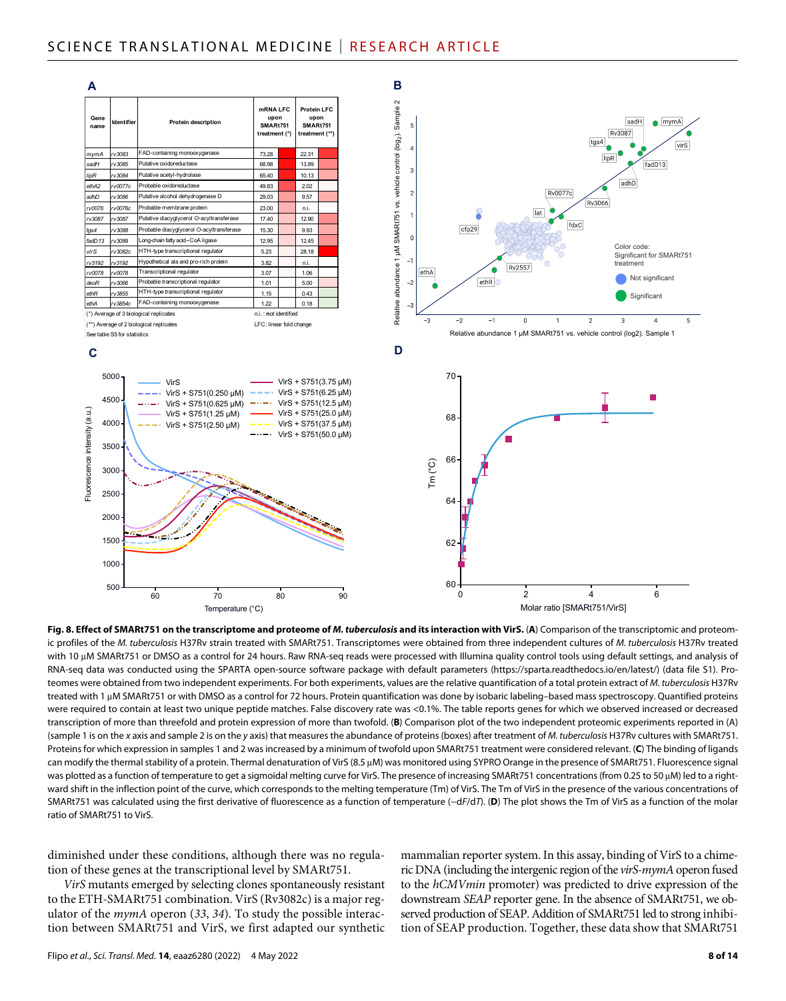

**Fig. 8. Effect of SMARt751 on the transcriptome and proteome of** *M. tuberculosis* **and its interaction with VirS.** (**A**) Comparison of the transcriptomic and proteomic profiles of the *M. tuberculosis* H37Rv strain treated with SMARt751. Transcriptomes were obtained from three independent cultures of *M. tuberculosis* H37Rv treated with 10 µM SMARt751 or DMSO as a control for 24 hours. Raw RNA-seq reads were processed with Illumina quality control tools using default settings, and analysis of RNA-seq data was conducted using the SPARTA open-source software package with default parameters [\(https://sparta.readthedocs.io/en/latest/\)](https://sparta.readthedocs.io/en/latest/) (data file S1). Proteomes were obtained from two independent experiments. For both experiments, values are the relative quantification of a total protein extract of *M. tuberculosis* H37Rv treated with 1 µM SMARt751 or with DMSO as a control for 72 hours. Protein quantification was done by isobaric labeling-based mass spectroscopy. Quantified proteins were required to contain at least two unique peptide matches. False discovery rate was <0.1%. The table reports genes for which we observed increased or decreased transcription of more than threefold and protein expression of more than twofold. (**B**) Comparison plot of the two independent proteomic experiments reported in (A) (sample 1 is on the *x* axis and sample 2 is on the *y* axis) that measures the abundance of proteins (boxes) after treatment of *M. tuberculosis* H37Rv cultures with SMARt751. Proteins for which expression in samples 1 and 2 was increased by a minimum of twofold upon SMARt751 treatment were considered relevant. (**C**) The binding of ligands can modify the thermal stability of a protein. Thermal denaturation of VirS (8.5 µM) was monitored using SYPRO Orange in the presence of SMARt751. Fluorescence signal was plotted as a function of temperature to get a sigmoidal melting curve for VirS. The presence of increasing SMARt751 concentrations (from 0.25 to 50 µM) led to a rightward shift in the inflection point of the curve, which corresponds to the melting temperature (Tm) of VirS. The Tm of VirS in the presence of the various concentrations of SMARt751 was calculated using the first derivative of fluorescence as a function of temperature (−d*F*/d*T*). (**D**) The plot shows the Tm of VirS as a function of the molar ratio of SMARt751 to VirS.

diminished under these conditions, although there was no regulation of these genes at the transcriptional level by SMARt751.

*VirS* mutants emerged by selecting clones spontaneously resistant to the ETH-SMARt751 combination. VirS (Rv3082c) is a major regulator of the *mymA* operon (*33*, *34*). To study the possible interaction between SMARt751 and VirS, we first adapted our synthetic

mammalian reporter system. In this assay, binding of VirS to a chimeric DNA (including the intergenic region of the *virS-mymA* operon fused to the *hCMVmin* promoter) was predicted to drive expression of the downstream *SEAP* reporter gene. In the absence of SMARt751, we observed production of SEAP. Addition of SMARt751 led to strong inhibition of SEAP production. Together, these data show that SMARt751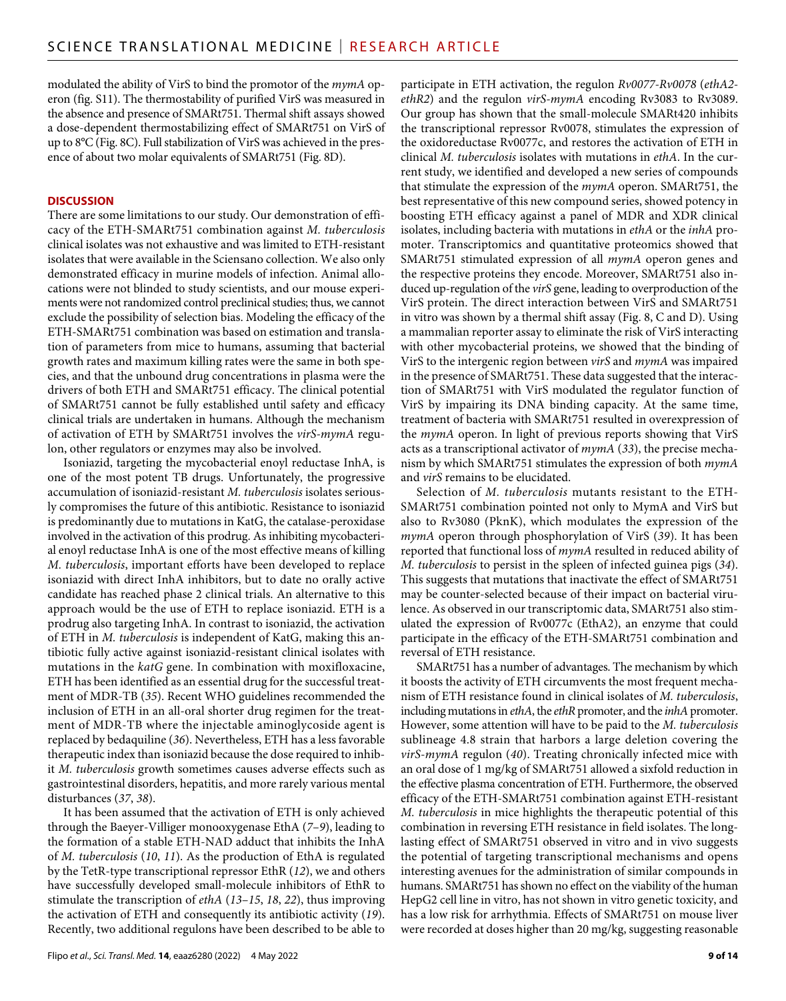modulated the ability of VirS to bind the promotor of the *mymA* operon (fig. S11). The thermostability of purified VirS was measured in the absence and presence of SMARt751. Thermal shift assays showed a dose-dependent thermostabilizing effect of SMARt751 on VirS of up to 8°C (Fig. 8C). Full stabilization of VirS was achieved in the presence of about two molar equivalents of SMARt751 (Fig. 8D).

#### **DISCUSSION**

There are some limitations to our study. Our demonstration of efficacy of the ETH-SMARt751 combination against *M. tuberculosis* clinical isolates was not exhaustive and was limited to ETH-resistant isolates that were available in the Sciensano collection. We also only demonstrated efficacy in murine models of infection. Animal allocations were not blinded to study scientists, and our mouse experiments were not randomized control preclinical studies; thus, we cannot exclude the possibility of selection bias. Modeling the efficacy of the ETH-SMARt751 combination was based on estimation and translation of parameters from mice to humans, assuming that bacterial growth rates and maximum killing rates were the same in both species, and that the unbound drug concentrations in plasma were the drivers of both ETH and SMARt751 efficacy. The clinical potential of SMARt751 cannot be fully established until safety and efficacy clinical trials are undertaken in humans. Although the mechanism of activation of ETH by SMARt751 involves the *virS-mymA* regulon, other regulators or enzymes may also be involved.

Isoniazid, targeting the mycobacterial enoyl reductase InhA, is one of the most potent TB drugs. Unfortunately, the progressive accumulation of isoniazid-resistant *M. tuberculosis* isolates seriously compromises the future of this antibiotic. Resistance to isoniazid is predominantly due to mutations in KatG, the catalase-peroxidase involved in the activation of this prodrug. As inhibiting mycobacterial enoyl reductase InhA is one of the most effective means of killing *M. tuberculosis*, important efforts have been developed to replace isoniazid with direct InhA inhibitors, but to date no orally active candidate has reached phase 2 clinical trials. An alternative to this approach would be the use of ETH to replace isoniazid. ETH is a prodrug also targeting InhA. In contrast to isoniazid, the activation of ETH in *M. tuberculosis* is independent of KatG, making this antibiotic fully active against isoniazid-resistant clinical isolates with mutations in the *katG* gene. In combination with moxifloxacine, ETH has been identified as an essential drug for the successful treatment of MDR-TB (*35*). Recent WHO guidelines recommended the inclusion of ETH in an all-oral shorter drug regimen for the treatment of MDR-TB where the injectable aminoglycoside agent is replaced by bedaquiline (*36*). Nevertheless, ETH has a less favorable therapeutic index than isoniazid because the dose required to inhibit *M. tuberculosis* growth sometimes causes adverse effects such as gastrointestinal disorders, hepatitis, and more rarely various mental disturbances (*37*, *38*).

It has been assumed that the activation of ETH is only achieved through the Baeyer-Villiger monooxygenase EthA (*7*–*9*), leading to the formation of a stable ETH-NAD adduct that inhibits the InhA of *M. tuberculosis* (*10*, *11*). As the production of EthA is regulated by the TetR-type transcriptional repressor EthR (*12*), we and others have successfully developed small-molecule inhibitors of EthR to stimulate the transcription of *ethA* (*13*–*15*, *18*, *22*), thus improving the activation of ETH and consequently its antibiotic activity (*19*). Recently, two additional regulons have been described to be able to

Flipo *et al*., *Sci. Transl. Med.* **14**, eaaz6280 (2022) 4 May 2022

participate in ETH activation, the regulon *Rv0077-Rv0078* (*ethA2 ethR2*) and the regulon *virS-mymA* encoding Rv3083 to Rv3089. Our group has shown that the small-molecule SMARt420 inhibits the transcriptional repressor Rv0078, stimulates the expression of the oxidoreductase Rv0077c, and restores the activation of ETH in clinical *M. tuberculosis* isolates with mutations in *ethA*. In the current study, we identified and developed a new series of compounds that stimulate the expression of the *mymA* operon. SMARt751, the best representative of this new compound series, showed potency in boosting ETH efficacy against a panel of MDR and XDR clinical isolates, including bacteria with mutations in *ethA* or the *inhA* promoter. Transcriptomics and quantitative proteomics showed that SMARt751 stimulated expression of all *mymA* operon genes and the respective proteins they encode. Moreover, SMARt751 also induced up-regulation of the *virS* gene, leading to overproduction of the VirS protein. The direct interaction between VirS and SMARt751 in vitro was shown by a thermal shift assay (Fig. 8, C and D). Using a mammalian reporter assay to eliminate the risk of VirS interacting with other mycobacterial proteins, we showed that the binding of VirS to the intergenic region between *virS* and *mymA* was impaired in the presence of SMARt751. These data suggested that the interaction of SMARt751 with VirS modulated the regulator function of VirS by impairing its DNA binding capacity. At the same time, treatment of bacteria with SMARt751 resulted in overexpression of the *mymA* operon. In light of previous reports showing that VirS acts as a transcriptional activator of *mymA* (*33*), the precise mechanism by which SMARt751 stimulates the expression of both *mymA* and *virS* remains to be elucidated.

Selection of *M. tuberculosis* mutants resistant to the ETH-SMARt751 combination pointed not only to MymA and VirS but also to Rv3080 (PknK), which modulates the expression of the *mymA* operon through phosphorylation of VirS (*39*). It has been reported that functional loss of *mymA* resulted in reduced ability of *M. tuberculosis* to persist in the spleen of infected guinea pigs (*34*). This suggests that mutations that inactivate the effect of SMARt751 may be counter-selected because of their impact on bacterial virulence. As observed in our transcriptomic data, SMARt751 also stimulated the expression of Rv0077c (EthA2), an enzyme that could participate in the efficacy of the ETH-SMARt751 combination and reversal of ETH resistance.

SMARt751 has a number of advantages. The mechanism by which it boosts the activity of ETH circumvents the most frequent mechanism of ETH resistance found in clinical isolates of *M. tuberculosis*, including mutations in *ethA*, the *ethR* promoter, and the *inhA* promoter. However, some attention will have to be paid to the *M. tuberculosis* sublineage 4.8 strain that harbors a large deletion covering the *virS-mymA* regulon (*40*). Treating chronically infected mice with an oral dose of 1 mg/kg of SMARt751 allowed a sixfold reduction in the effective plasma concentration of ETH. Furthermore, the observed efficacy of the ETH-SMARt751 combination against ETH-resistant *M. tuberculosis* in mice highlights the therapeutic potential of this combination in reversing ETH resistance in field isolates. The longlasting effect of SMARt751 observed in vitro and in vivo suggests the potential of targeting transcriptional mechanisms and opens interesting avenues for the administration of similar compounds in humans. SMARt751 has shown no effect on the viability of the human HepG2 cell line in vitro, has not shown in vitro genetic toxicity, and has a low risk for arrhythmia. Effects of SMARt751 on mouse liver were recorded at doses higher than 20 mg/kg, suggesting reasonable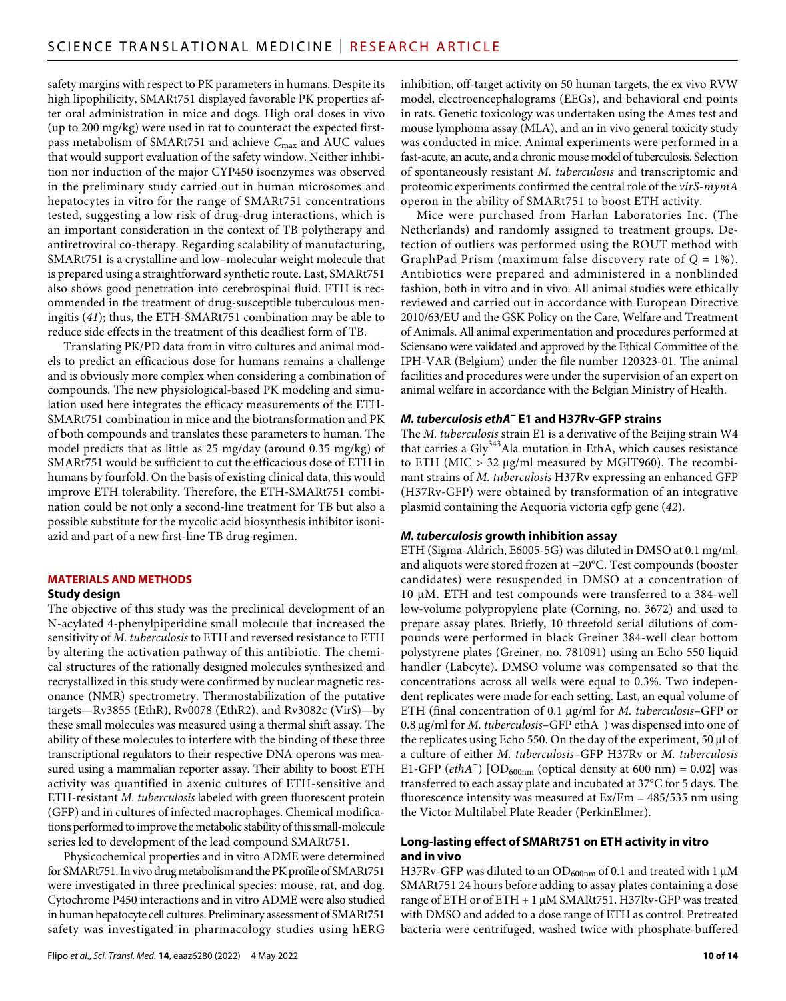safety margins with respect to PK parameters in humans. Despite its high lipophilicity, SMARt751 displayed favorable PK properties after oral administration in mice and dogs. High oral doses in vivo (up to 200 mg/kg) were used in rat to counteract the expected firstpass metabolism of SMARt751 and achieve C<sub>max</sub> and AUC values that would support evaluation of the safety window. Neither inhibition nor induction of the major CYP450 isoenzymes was observed in the preliminary study carried out in human microsomes and hepatocytes in vitro for the range of SMARt751 concentrations tested, suggesting a low risk of drug-drug interactions, which is an important consideration in the context of TB polytherapy and antiretroviral co-therapy. Regarding scalability of manufacturing, SMARt751 is a crystalline and low–molecular weight molecule that is prepared using a straightforward synthetic route. Last, SMARt751 also shows good penetration into cerebrospinal fluid. ETH is recommended in the treatment of drug-susceptible tuberculous meningitis (*41*); thus, the ETH-SMARt751 combination may be able to reduce side effects in the treatment of this deadliest form of TB.

Translating PK/PD data from in vitro cultures and animal models to predict an efficacious dose for humans remains a challenge and is obviously more complex when considering a combination of compounds. The new physiological-based PK modeling and simulation used here integrates the efficacy measurements of the ETH-SMARt751 combination in mice and the biotransformation and PK of both compounds and translates these parameters to human. The model predicts that as little as 25 mg/day (around 0.35 mg/kg) of SMARt751 would be sufficient to cut the efficacious dose of ETH in humans by fourfold. On the basis of existing clinical data, this would improve ETH tolerability. Therefore, the ETH-SMARt751 combination could be not only a second-line treatment for TB but also a possible substitute for the mycolic acid biosynthesis inhibitor isoniazid and part of a new first-line TB drug regimen.

#### **MATERIALS AND METHODS Study design**

The objective of this study was the preclinical development of an N-acylated 4-phenylpiperidine small molecule that increased the sensitivity of *M. tuberculosis* to ETH and reversed resistance to ETH by altering the activation pathway of this antibiotic. The chemical structures of the rationally designed molecules synthesized and recrystallized in this study were confirmed by nuclear magnetic resonance (NMR) spectrometry. Thermostabilization of the putative targets—Rv3855 (EthR), Rv0078 (EthR2), and Rv3082c (VirS)—by these small molecules was measured using a thermal shift assay. The ability of these molecules to interfere with the binding of these three transcriptional regulators to their respective DNA operons was measured using a mammalian reporter assay. Their ability to boost ETH activity was quantified in axenic cultures of ETH-sensitive and ETH-resistant *M. tuberculosis* labeled with green fluorescent protein (GFP) and in cultures of infected macrophages. Chemical modifications performed to improve the metabolic stability of this small-molecule series led to development of the lead compound SMARt751.

Physicochemical properties and in vitro ADME were determined for SMARt751. In vivo drug metabolism and the PK profile of SMARt751 were investigated in three preclinical species: mouse, rat, and dog. Cytochrome P450 interactions and in vitro ADME were also studied in human hepatocyte cell cultures. Preliminary assessment of SMARt751 safety was investigated in pharmacology studies using hERG

Flipo *et al*., *Sci. Transl. Med.* **14**, eaaz6280 (2022) 4 May 2022

inhibition, off-target activity on 50 human targets, the ex vivo RVW model, electroencephalograms (EEGs), and behavioral end points in rats. Genetic toxicology was undertaken using the Ames test and mouse lymphoma assay (MLA), and an in vivo general toxicity study was conducted in mice. Animal experiments were performed in a fast-acute, an acute, and a chronic mouse model of tuberculosis. Selection of spontaneously resistant *M. tuberculosis* and transcriptomic and proteomic experiments confirmed the central role of the *virS-mymA* operon in the ability of SMARt751 to boost ETH activity.

Mice were purchased from Harlan Laboratories Inc. (The Netherlands) and randomly assigned to treatment groups. Detection of outliers was performed using the ROUT method with GraphPad Prism (maximum false discovery rate of *Q* = 1%). Antibiotics were prepared and administered in a nonblinded fashion, both in vitro and in vivo. All animal studies were ethically reviewed and carried out in accordance with European Directive 2010/63/EU and the GSK Policy on the Care, Welfare and Treatment of Animals. All animal experimentation and procedures performed at Sciensano were validated and approved by the Ethical Committee of the IPH-VAR (Belgium) under the file number 120323-01. The animal facilities and procedures were under the supervision of an expert on animal welfare in accordance with the Belgian Ministry of Health.

## *M. tuberculosis ethA***<sup>−</sup> E1 andH37Rv-GFP strains**

The *M. tuberculosis* strain E1 is a derivative of the Beijing strain W4 that carries a Gly<sup>343</sup>Ala mutation in EthA, which causes resistance to ETH (MIC  $> 32 \mu g/ml$  measured by MGIT960). The recombinant strains of *M. tuberculosis* H37Rv expressing an enhanced GFP (H37Rv-GFP) were obtained by transformation of an integrative plasmid containing the Aequoria victoria egfp gene (*42*).

#### *M. tuberculosis* **growth inhibition assay**

ETH (Sigma-Aldrich, E6005-5G) was diluted in DMSO at 0.1 mg/ml, and aliquots were stored frozen at −20°C. Test compounds (booster candidates) were resuspended in DMSO at a concentration of  $10 \mu$ M. ETH and test compounds were transferred to a 384-well low-volume polypropylene plate (Corning, no. 3672) and used to prepare assay plates. Briefly, 10 threefold serial dilutions of compounds were performed in black Greiner 384-well clear bottom polystyrene plates (Greiner, no. 781091) using an Echo 550 liquid handler (Labcyte). DMSO volume was compensated so that the concentrations across all wells were equal to 0.3%. Two independent replicates were made for each setting. Last, an equal volume of ETH (final concentration of 0.1 g/ml for *M. tuberculosis*–GFP or 0.8 μg/ml for *M. tuberculosis*–GFP ethA<sup>-</sup>) was dispensed into one of the replicates using Echo 550. On the day of the experiment, 50  $\mu$  of a culture of either *M. tuberculosis*–GFP H37Rv or *M. tuberculosis* E1-GFP (*ethA<sup>−</sup>* ) [OD600nm (optical density at 600 nm) = 0.02] was transferred to each assay plate and incubated at 37°C for 5 days. The fluorescence intensity was measured at Ex/Em = 485/535 nm using the Victor Multilabel Plate Reader (PerkinElmer).

#### **Long-lasting effect of SMARt751 on ETH activity in vitro and in vivo**

H37Rv-GFP was diluted to an OD<sub>600nm</sub> of 0.1 and treated with 1  $\mu$ M SMARt751 24 hours before adding to assay plates containing a dose range of ETH or of ETH  $+1 \mu$ M SMARt751. H37Rv-GFP was treated with DMSO and added to a dose range of ETH as control. Pretreated bacteria were centrifuged, washed twice with phosphate-buffered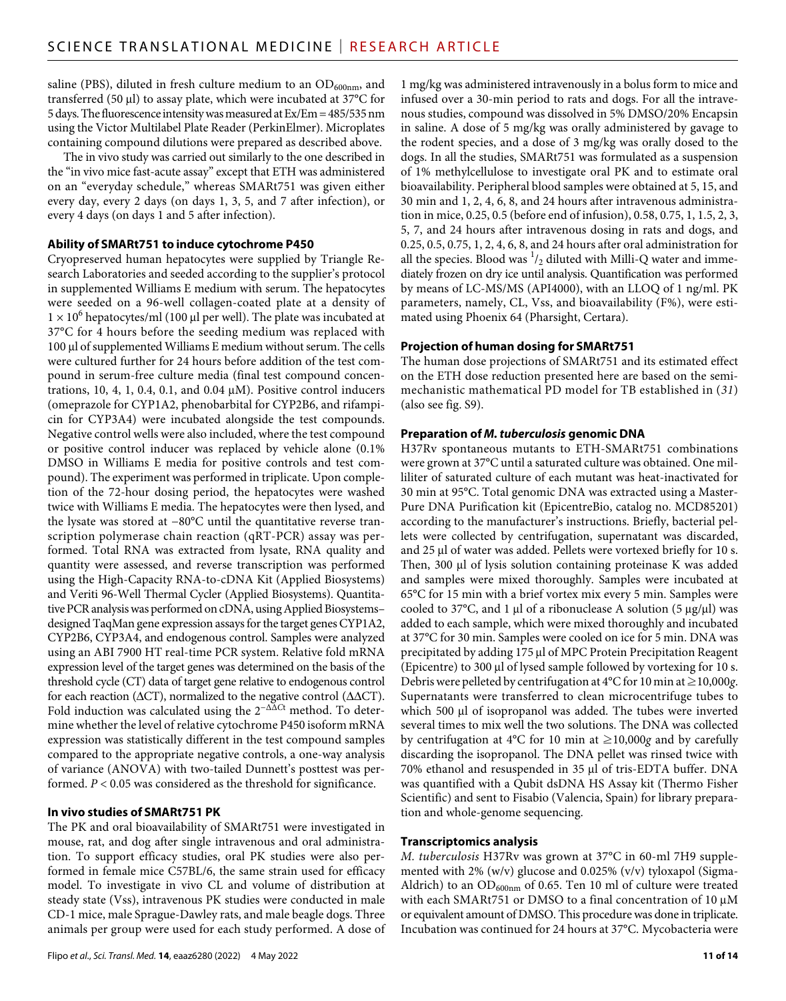saline (PBS), diluted in fresh culture medium to an  $OD_{600nm}$ , and transferred (50  $\mu$ l) to assay plate, which were incubated at 37 $\rm ^{o}C$  for 5 days. The fluorescence intensity was measured at Ex/Em = 485/535 nm using the Victor Multilabel Plate Reader (PerkinElmer). Microplates containing compound dilutions were prepared as described above.

The in vivo study was carried out similarly to the one described in the "in vivo mice fast-acute assay" except that ETH was administered on an "everyday schedule," whereas SMARt751 was given either every day, every 2 days (on days 1, 3, 5, and 7 after infection), or every 4 days (on days 1 and 5 after infection).

#### **Ability of SMARt751 to induce cytochrome P450**

Cryopreserved human hepatocytes were supplied by Triangle Research Laboratories and seeded according to the supplier's protocol in supplemented Williams E medium with serum. The hepatocytes were seeded on a 96-well collagen-coated plate at a density of  $1\times10^6$  hepatocytes/ml (100 µl per well). The plate was incubated at 37°C for 4 hours before the seeding medium was replaced with 100 µl of supplemented Williams E medium without serum. The cells were cultured further for 24 hours before addition of the test compound in serum-free culture media (final test compound concentrations, 10, 4, 1, 0.4, 0.1, and 0.04  $\mu$ M). Positive control inducers (omeprazole for CYP1A2, phenobarbital for CYP2B6, and rifampicin for CYP3A4) were incubated alongside the test compounds. Negative control wells were also included, where the test compound or positive control inducer was replaced by vehicle alone (0.1% DMSO in Williams E media for positive controls and test compound). The experiment was performed in triplicate. Upon completion of the 72-hour dosing period, the hepatocytes were washed twice with Williams E media. The hepatocytes were then lysed, and the lysate was stored at −80°C until the quantitative reverse transcription polymerase chain reaction (qRT-PCR) assay was performed. Total RNA was extracted from lysate, RNA quality and quantity were assessed, and reverse transcription was performed using the High-Capacity RNA-to-cDNA Kit (Applied Biosystems) and Veriti 96-Well Thermal Cycler (Applied Biosystems). Quantitative PCR analysis was performed on cDNA, using Applied Biosystems– designed TaqMan gene expression assays for the target genes CYP1A2, CYP2B6, CYP3A4, and endogenous control. Samples were analyzed using an ABI 7900 HT real-time PCR system. Relative fold mRNA expression level of the target genes was determined on the basis of the threshold cycle (CT) data of target gene relative to endogenous control for each reaction ( $\Delta$ CT), normalized to the negative control ( $\Delta$  $\Delta$ CT). Fold induction was calculated using the 2−∆∆*C*<sup>t</sup> method. To determine whether the level of relative cytochrome P450 isoform mRNA expression was statistically different in the test compound samples compared to the appropriate negative controls, a one-way analysis of variance (ANOVA) with two-tailed Dunnett's posttest was performed. *P* < 0.05 was considered as the threshold for significance.

#### **In vivo studies of SMARt751 PK**

The PK and oral bioavailability of SMARt751 were investigated in mouse, rat, and dog after single intravenous and oral administration. To support efficacy studies, oral PK studies were also performed in female mice C57BL/6, the same strain used for efficacy model. To investigate in vivo CL and volume of distribution at steady state (Vss), intravenous PK studies were conducted in male CD-1 mice, male Sprague-Dawley rats, and male beagle dogs. Three animals per group were used for each study performed. A dose of

1 mg/kg was administered intravenously in a bolus form to mice and infused over a 30-min period to rats and dogs. For all the intravenous studies, compound was dissolved in 5% DMSO/20% Encapsin in saline. A dose of 5 mg/kg was orally administered by gavage to the rodent species, and a dose of 3 mg/kg was orally dosed to the dogs. In all the studies, SMARt751 was formulated as a suspension of 1% methylcellulose to investigate oral PK and to estimate oral bioavailability. Peripheral blood samples were obtained at 5, 15, and 30 min and 1, 2, 4, 6, 8, and 24 hours after intravenous administration in mice, 0.25, 0.5 (before end of infusion), 0.58, 0.75, 1, 1.5, 2, 3, 5, 7, and 24 hours after intravenous dosing in rats and dogs, and 0.25, 0.5, 0.75, 1, 2, 4, 6, 8, and 24 hours after oral administration for all the species. Blood was  $\frac{1}{2}$  diluted with Milli-Q water and immediately frozen on dry ice until analysis. Quantification was performed by means of LC-MS/MS (API4000), with an LLOQ of 1 ng/ml. PK parameters, namely, CL, Vss, and bioavailability (F%), were estimated using Phoenix 64 (Pharsight, Certara).

#### **Projection of human dosing for SMARt751**

The human dose projections of SMARt751 and its estimated effect on the ETH dose reduction presented here are based on the semimechanistic mathematical PD model for TB established in (*31*) (also see fig. S9).

#### **Preparation of** *M. tuberculosis* **genomic DNA**

H37Rv spontaneous mutants to ETH-SMARt751 combinations were grown at 37°C until a saturated culture was obtained. One milliliter of saturated culture of each mutant was heat-inactivated for 30 min at 95°C. Total genomic DNA was extracted using a Master-Pure DNA Purification kit (EpicentreBio, catalog no. MCD85201) according to the manufacturer's instructions. Briefly, bacterial pellets were collected by centrifugation, supernatant was discarded, and 25 µl of water was added. Pellets were vortexed briefly for 10 s. Then, 300 µl of lysis solution containing proteinase K was added and samples were mixed thoroughly. Samples were incubated at 65°C for 15 min with a brief vortex mix every 5 min. Samples were cooled to 37°C, and 1 µl of a ribonuclease A solution (5  $\mu$ g/ $\mu$ l) was added to each sample, which were mixed thoroughly and incubated at 37°C for 30 min. Samples were cooled on ice for 5 min. DNA was precipitated by adding 175 µl of MPC Protein Precipitation Reagent (Epicentre) to 300  $\mu$ l of lysed sample followed by vortexing for 10 s. Debris were pelleted by centrifugation at 4°C for 10 min at ≥10,000*g*. Supernatants were transferred to clean microcentrifuge tubes to which 500 µl of isopropanol was added. The tubes were inverted several times to mix well the two solutions. The DNA was collected by centrifugation at 4<sup>o</sup>C for 10 min at  $\geq$ 10,000*g* and by carefully discarding the isopropanol. The DNA pellet was rinsed twice with 70% ethanol and resuspended in 35 µl of tris-EDTA buffer. DNA was quantified with a Qubit dsDNA HS Assay kit (Thermo Fisher Scientific) and sent to Fisabio (Valencia, Spain) for library preparation and whole-genome sequencing.

#### **Transcriptomics analysis**

*M. tuberculosis* H37Rv was grown at 37°C in 60-ml 7H9 supplemented with 2% (w/v) glucose and 0.025% (v/v) tyloxapol (Sigma-Aldrich) to an  $OD_{600nm}$  of 0.65. Ten 10 ml of culture were treated with each SMARt751 or DMSO to a final concentration of  $10 \mu$ M or equivalent amount of DMSO. This procedure was done in triplicate. Incubation was continued for 24 hours at 37°C. Mycobacteria were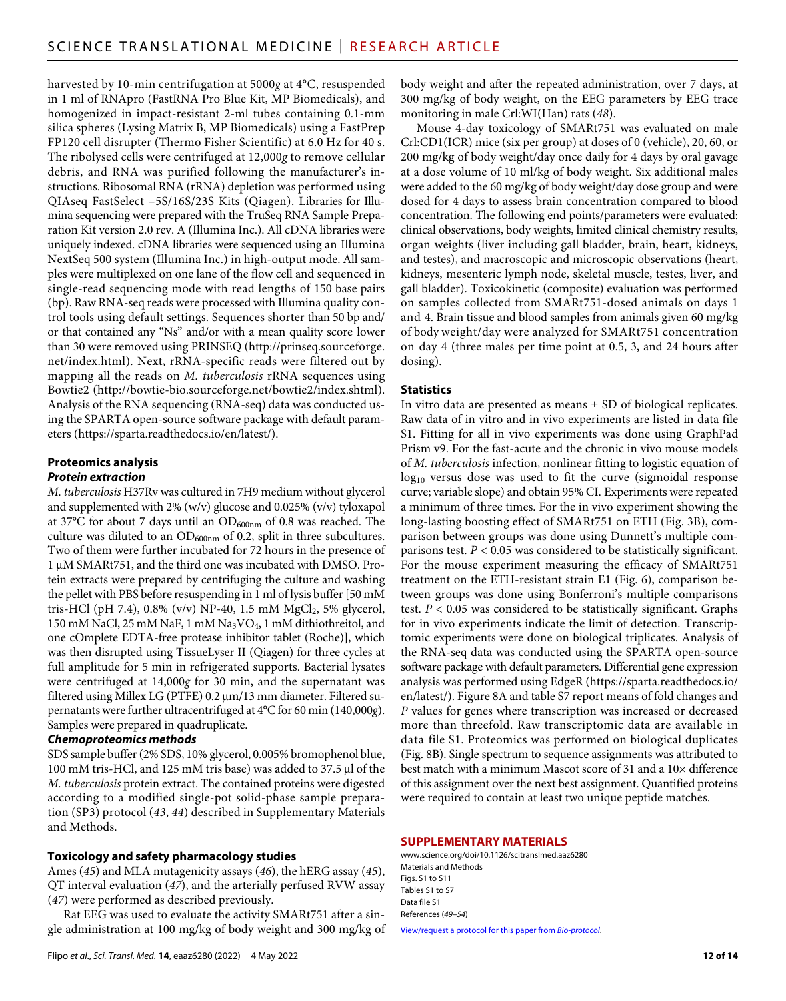harvested by 10-min centrifugation at 5000*g* at 4°C, resuspended in 1 ml of RNApro (FastRNA Pro Blue Kit, MP Biomedicals), and homogenized in impact-resistant 2-ml tubes containing 0.1-mm silica spheres (Lysing Matrix B, MP Biomedicals) using a FastPrep FP120 cell disrupter (Thermo Fisher Scientific) at 6.0 Hz for 40 s. The ribolysed cells were centrifuged at 12,000*g* to remove cellular debris, and RNA was purified following the manufacturer's instructions. Ribosomal RNA (rRNA) depletion was performed using QIAseq FastSelect –5S/16S/23S Kits (Qiagen). Libraries for Illumina sequencing were prepared with the TruSeq RNA Sample Preparation Kit version 2.0 rev. A (Illumina Inc.). All cDNA libraries were uniquely indexed. cDNA libraries were sequenced using an Illumina NextSeq 500 system (Illumina Inc.) in high-output mode. All samples were multiplexed on one lane of the flow cell and sequenced in single-read sequencing mode with read lengths of 150 base pairs (bp). Raw RNA-seq reads were processed with Illumina quality control tools using default settings. Sequences shorter than 50 bp and/ or that contained any "Ns" and/or with a mean quality score lower than 30 were removed using PRINSEQ [\(http://prinseq.sourceforge.](http://prinseq.sourceforge.net/index.html) [net/index.html](http://prinseq.sourceforge.net/index.html)). Next, rRNA-specific reads were filtered out by mapping all the reads on *M. tuberculosis* rRNA sequences using Bowtie2 ([http://bowtie-bio.sourceforge.net/bowtie2/index.shtml\)](http://bowtie-bio.sourceforge.net/bowtie2/index.shtml). Analysis of the RNA sequencing (RNA-seq) data was conducted using the SPARTA open-source software package with default parameters [\(https://sparta.readthedocs.io/en/latest/](https://sparta.readthedocs.io/en/latest/)).

#### **Proteomics analysis** *Protein extraction*

*M. tuberculosis* H37Rv was cultured in 7H9 medium without glycerol and supplemented with 2% (w/v) glucose and 0.025% (v/v) tyloxapol at 37°C for about 7 days until an OD<sub>600nm</sub> of 0.8 was reached. The culture was diluted to an  $OD_{600nm}$  of 0.2, split in three subcultures. Two of them were further incubated for 72 hours in the presence of  $1 \mu$ M SMARt751, and the third one was incubated with DMSO. Protein extracts were prepared by centrifuging the culture and washing the pellet with PBS before resuspending in 1 ml of lysis buffer [50 mM tris-HCl (pH 7.4), 0.8% (v/v) NP-40, 1.5 mM  $MgCl<sub>2</sub>$ , 5% glycerol, 150 mM NaCl, 25 mM NaF, 1 mM Na3VO4, 1 mM dithiothreitol, and one cOmplete EDTA-free protease inhibitor tablet (Roche)], which was then disrupted using TissueLyser II (Qiagen) for three cycles at full amplitude for 5 min in refrigerated supports. Bacterial lysates were centrifuged at 14,000*g* for 30 min, and the supernatant was filtered using Millex LG (PTFE) 0.2 μm/13 mm diameter. Filtered supernatants were further ultracentrifuged at 4°C for 60 min (140,000*g*). Samples were prepared in quadruplicate.

#### *Chemoproteomics methods*

SDS sample buffer (2% SDS, 10% glycerol, 0.005% bromophenol blue, 100 mM tris-HCl, and 125 mM tris base) was added to 37.5  $\mu$ l of the *M. tuberculosis* protein extract. The contained proteins were digested according to a modified single-pot solid-phase sample preparation (SP3) protocol (*43*, *44*) described in Supplementary Materials and Methods.

#### **Toxicology and safety pharmacology studies**

Ames (*45*) and MLA mutagenicity assays (*46*), the hERG assay (*45*), QT interval evaluation (*47*), and the arterially perfused RVW assay (*47*) were performed as described previously.

Rat EEG was used to evaluate the activity SMARt751 after a single administration at 100 mg/kg of body weight and 300 mg/kg of body weight and after the repeated administration, over 7 days, at 300 mg/kg of body weight, on the EEG parameters by EEG trace monitoring in male Crl:WI(Han) rats (*48*).

Mouse 4-day toxicology of SMARt751 was evaluated on male Crl:CD1(ICR) mice (six per group) at doses of 0 (vehicle), 20, 60, or 200 mg/kg of body weight/day once daily for 4 days by oral gavage at a dose volume of 10 ml/kg of body weight. Six additional males were added to the 60 mg/kg of body weight/day dose group and were dosed for 4 days to assess brain concentration compared to blood concentration. The following end points/parameters were evaluated: clinical observations, body weights, limited clinical chemistry results, organ weights (liver including gall bladder, brain, heart, kidneys, and testes), and macroscopic and microscopic observations (heart, kidneys, mesenteric lymph node, skeletal muscle, testes, liver, and gall bladder). Toxicokinetic (composite) evaluation was performed on samples collected from SMARt751-dosed animals on days 1 and 4. Brain tissue and blood samples from animals given 60 mg/kg of body weight/day were analyzed for SMARt751 concentration on day 4 (three males per time point at 0.5, 3, and 24 hours after dosing).

#### **Statistics**

In vitro data are presented as means  $\pm$  SD of biological replicates. Raw data of in vitro and in vivo experiments are listed in data file S1. Fitting for all in vivo experiments was done using GraphPad Prism v9. For the fast-acute and the chronic in vivo mouse models of *M. tuberculosis* infection, nonlinear fitting to logistic equation of  $log<sub>10</sub>$  versus dose was used to fit the curve (sigmoidal response curve; variable slope) and obtain 95% CI. Experiments were repeated a minimum of three times. For the in vivo experiment showing the long-lasting boosting effect of SMARt751 on ETH (Fig. 3B), comparison between groups was done using Dunnett's multiple comparisons test.  $P < 0.05$  was considered to be statistically significant. For the mouse experiment measuring the efficacy of SMARt751 treatment on the ETH-resistant strain E1 (Fig. 6), comparison between groups was done using Bonferroni's multiple comparisons test.  $P < 0.05$  was considered to be statistically significant. Graphs for in vivo experiments indicate the limit of detection. Transcriptomic experiments were done on biological triplicates. Analysis of the RNA-seq data was conducted using the SPARTA open-source software package with default parameters. Differential gene expression analysis was performed using EdgeR ([https://sparta.readthedocs.io/](https://sparta.readthedocs.io/en/latest/) [en/latest/](https://sparta.readthedocs.io/en/latest/)). Figure 8A and table S7 report means of fold changes and *P* values for genes where transcription was increased or decreased more than threefold. Raw transcriptomic data are available in data file S1. Proteomics was performed on biological duplicates (Fig. 8B). Single spectrum to sequence assignments was attributed to best match with a minimum Mascot score of 31 and a 10× difference of this assignment over the next best assignment. Quantified proteins were required to contain at least two unique peptide matches.

#### **SUPPLEMENTARY MATERIALS**

[www.science.org/doi/10.1126/scitranslmed.aaz6280](http://www.science.org/doi/10.1126/scitranslmed.aaz6280) Materials and Methods Figs. S1 to S11 Tables S1 to S7 Data file S1 References (*49*–*54*)

[View/request a protocol for this paper from](https://en.bio-protocol.org/cjrap.aspx?eid=10.1126/scitranslmed.aaz6280) *Bio-protocol*.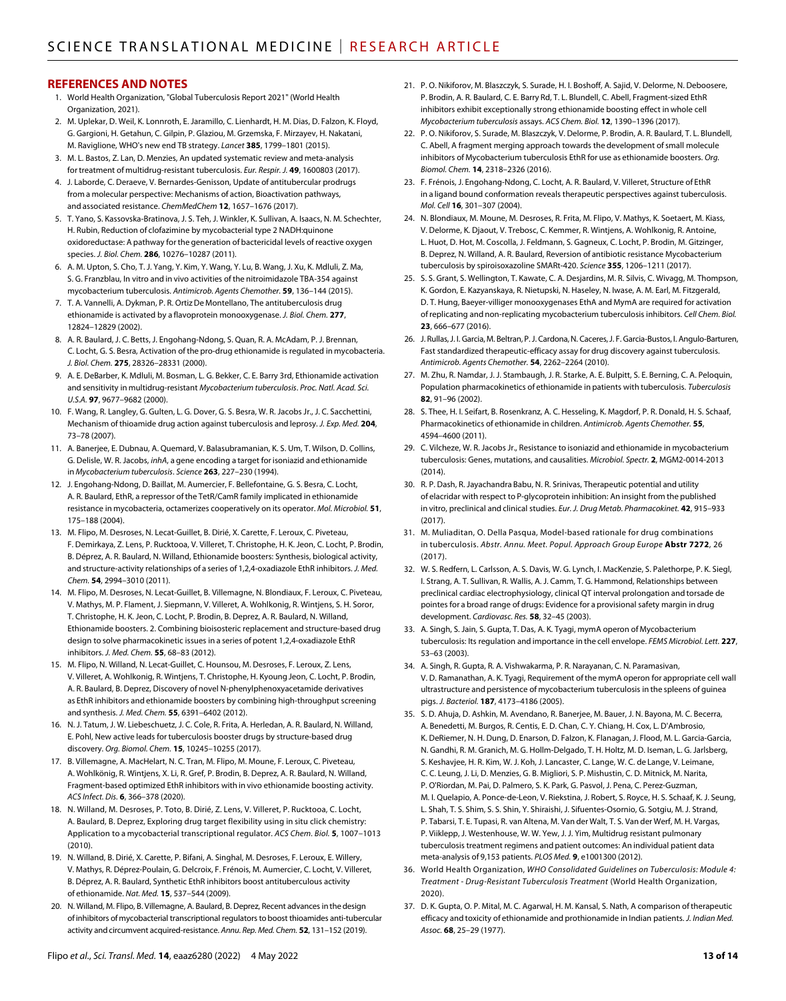#### **REFERENCES AND NOTES**

- 1. World Health Organization, "Global Tuberculosis Report 2021" (World Health Organization, 2021).
- 2. M. Uplekar, D. Weil, K. Lonnroth, E. Jaramillo, C. Lienhardt, H. M. Dias, D. Falzon, K. Floyd, G. Gargioni, H. Getahun, C. Gilpin, P. Glaziou, M. Grzemska, F. Mirzayev, H. Nakatani, M. Raviglione, WHO's new end TB strategy. *Lancet* **385**, 1799–1801 (2015).
- 3. M. L. Bastos, Z. Lan, D. Menzies, An updated systematic review and meta-analysis for treatment of multidrug-resistant tuberculosis. *Eur. Respir. J.* **49**, 1600803 (2017).
- 4. J. Laborde, C. Deraeve, V. Bernardes-Genisson, Update of antitubercular prodrugs from a molecular perspective: Mechanisms of action, Bioactivation pathways, and associated resistance. *ChemMedChem* **12**, 1657–1676 (2017).
- 5. T. Yano, S. Kassovska-Bratinova, J. S. Teh, J. Winkler, K. Sullivan, A. Isaacs, N. M. Schechter, H. Rubin, Reduction of clofazimine by mycobacterial type 2 NADH:quinone oxidoreductase: A pathway for the generation of bactericidal levels of reactive oxygen species. *J. Biol. Chem.* **286**, 10276–10287 (2011).
- 6. A. M. Upton, S. Cho, T. J. Yang, Y. Kim, Y. Wang, Y. Lu, B. Wang, J. Xu, K. Mdluli, Z. Ma, S. G. Franzblau, In vitro and in vivo activities of the nitroimidazole TBA-354 against mycobacterium tuberculosis. *Antimicrob. Agents Chemother.* **59**, 136–144 (2015).
- 7. T. A. Vannelli, A. Dykman, P. R. Ortiz De Montellano, The antituberculosis drug ethionamide is activated by a flavoprotein monooxygenase. *J. Biol. Chem.* **277**, 12824–12829 (2002).
- 8. A. R. Baulard, J. C. Betts, J. Engohang-Ndong, S. Quan, R. A. McAdam, P. J. Brennan, C. Locht, G. S. Besra, Activation of the pro-drug ethionamide is regulated in mycobacteria. *J. Biol. Chem.* **275**, 28326–28331 (2000).
- 9. A. E. DeBarber, K. Mdluli, M. Bosman, L. G. Bekker, C. E. Barry 3rd, Ethionamide activation and sensitivity in multidrug-resistant *Mycobacterium tuberculosis*. *Proc. Natl. Acad. Sci. U.S.A.* **97**, 9677–9682 (2000).
- 10. F. Wang, R. Langley, G. Gulten, L. G. Dover, G. S. Besra, W. R. Jacobs Jr., J. C. Sacchettini, Mechanism of thioamide drug action against tuberculosis and leprosy. *J. Exp. Med.* **204**, 73–78 (2007).
- 11. A. Banerjee, E. Dubnau, A. Quemard, V. Balasubramanian, K. S. Um, T. Wilson, D. Collins, G. Delisle, W. R. Jacobs, *inhA*, a gene encoding a target for isoniazid and ethionamide in *Mycobacterium tuberculosis*. *Science* **263**, 227–230 (1994).
- 12. J. Engohang-Ndong, D. Baillat, M. Aumercier, F. Bellefontaine, G. S. Besra, C. Locht, A. R. Baulard, EthR, a repressor of the TetR/CamR family implicated in ethionamide resistance in mycobacteria, octamerizes cooperatively on its operator. *Mol. Microbiol.* **51**, 175–188 (2004).
- 13. M. Flipo, M. Desroses, N. Lecat-Guillet, B. Dirié, X. Carette, F. Leroux, C. Piveteau, F. Demirkaya, Z. Lens, P. Rucktooa, V. Villeret, T. Christophe, H. K. Jeon, C. Locht, P. Brodin, B. Déprez, A. R. Baulard, N. Willand, Ethionamide boosters: Synthesis, biological activity, and structure-activity relationships of a series of 1,2,4-oxadiazole EthR inhibitors. *J. Med. Chem.* **54**, 2994–3010 (2011).
- 14. M. Flipo, M. Desroses, N. Lecat-Guillet, B. Villemagne, N. Blondiaux, F. Leroux, C. Piveteau, V. Mathys, M. P. Flament, J. Siepmann, V. Villeret, A. Wohlkonig, R. Wintjens, S. H. Soror, T. Christophe, H. K. Jeon, C. Locht, P. Brodin, B. Deprez, A. R. Baulard, N. Willand, Ethionamide boosters. 2. Combining bioisosteric replacement and structure-based drug design to solve pharmacokinetic issues in a series of potent 1,2,4-oxadiazole EthR inhibitors. *J. Med. Chem.* **55**, 68–83 (2012).
- 15. M. Flipo, N. Willand, N. Lecat-Guillet, C. Hounsou, M. Desroses, F. Leroux, Z. Lens, V. Villeret, A. Wohlkonig, R. Wintjens, T. Christophe, H. Kyoung Jeon, C. Locht, P. Brodin, A. R. Baulard, B. Deprez, Discovery of novel N-phenylphenoxyacetamide derivatives as EthR inhibitors and ethionamide boosters by combining high-throughput screening and synthesis. *J. Med. Chem.* **55**, 6391–6402 (2012).
- 16. N. J. Tatum, J. W. Liebeschuetz, J. C. Cole, R. Frita, A. Herledan, A. R. Baulard, N. Willand, E. Pohl, New active leads for tuberculosis booster drugs by structure-based drug discovery. *Org. Biomol. Chem.* **15**, 10245–10255 (2017).
- 17. B. Villemagne, A. MacHelart, N. C. Tran, M. Flipo, M. Moune, F. Leroux, C. Piveteau, A. Wohlkönig, R. Wintjens, X. Li, R. Gref, P. Brodin, B. Deprez, A. R. Baulard, N. Willand, Fragment-based optimized EthR inhibitors with in vivo ethionamide boosting activity. *ACS Infect. Dis.* **6**, 366–378 (2020).
- 18. N. Willand, M. Desroses, P. Toto, B. Dirié, Z. Lens, V. Villeret, P. Rucktooa, C. Locht, A. Baulard, B. Deprez, Exploring drug target flexibility using in situ click chemistry: Application to a mycobacterial transcriptional regulator. *ACS Chem. Biol.* **5**, 1007–1013 (2010).
- 19. N. Willand, B. Dirié, X. Carette, P. Bifani, A. Singhal, M. Desroses, F. Leroux, E. Willery, V. Mathys, R. Déprez-Poulain, G. Delcroix, F. Frénois, M. Aumercier, C. Locht, V. Villeret, B. Déprez, A. R. Baulard, Synthetic EthR inhibitors boost antituberculous activity of ethionamide. *Nat. Med.* **15**, 537–544 (2009).
- 20. N. Willand, M. Flipo, B. Villemagne, A. Baulard, B. Deprez, Recent advances inthedesign ofinhibitors ofmycobacterial transcriptional regulators toboost thioamides anti-tubercular activity and circumvent acquired-resistance. Annu. Rep. Med. Chem. 52, 131-152 (2019).
- 21. P. O. Nikiforov, M. Blaszczyk, S. Surade, H. I. Boshoff, A. Sajid, V. Delorme, N. Deboosere, P. Brodin, A. R. Baulard, C. E. Barry Rd, T. L. Blundell, C. Abell, Fragment-sized EthR inhibitors exhibit exceptionally strong ethionamide boosting effect in whole cell *Mycobacterium tuberculosis* assays. *ACS Chem. Biol.* **12**, 1390–1396 (2017).
- 22. P. O. Nikiforov, S. Surade, M. Blaszczyk, V. Delorme, P. Brodin, A. R. Baulard, T. L. Blundell, C. Abell, A fragment merging approach towards the development of small molecule inhibitors of Mycobacterium tuberculosis EthR for use as ethionamide boosters. *Org. Biomol. Chem.* **14**, 2318–2326 (2016).
- 23. F. Frénois, J. Engohang-Ndong, C. Locht, A. R. Baulard, V. Villeret, Structure of EthR in a ligand bound conformation reveals therapeutic perspectives against tuberculosis. *Mol. Cell* **16**, 301–307 (2004).
- 24. N. Blondiaux, M. Moune, M. Desroses, R. Frita, M. Flipo, V. Mathys, K. Soetaert, M. Kiass, V. Delorme, K. Djaout, V. Trebosc, C. Kemmer, R. Wintjens, A. Wohlkonig, R. Antoine, L. Huot, D. Hot, M. Coscolla, J. Feldmann, S. Gagneux, C. Locht, P. Brodin, M. Gitzinger, B. Deprez, N. Willand, A. R. Baulard, Reversion of antibiotic resistance Mycobacterium tuberculosis by spiroisoxazoline SMARt-420. *Science* **355**, 1206–1211 (2017).
- 25. S. S. Grant, S. Wellington, T. Kawate, C. A. Desjardins, M. R. Silvis, C. Wivagg, M. Thompson, K. Gordon, E. Kazyanskaya, R. Nietupski, N. Haseley, N. Iwase, A. M. Earl, M. Fitzgerald, D. T. Hung, Baeyer-villiger monooxygenases EthA and MymA are required for activation of replicating and non-replicating mycobacterium tuberculosis inhibitors. *Cell Chem. Biol.* **23**, 666–677 (2016).
- 26. J. Rullas, J. I. Garcia, M. Beltran, P.J. Cardona, N. Caceres, J. F. Garcia-Bustos, I. Angulo-Barturen, Fast standardized therapeutic-efficacy assay for drug discovery against tuberculosis. *Antimicrob. Agents Chemother.* **54**, 2262–2264 (2010).
- 27. M. Zhu, R. Namdar, J. J. Stambaugh, J. R. Starke, A. E. Bulpitt, S. E. Berning, C. A. Peloquin, Population pharmacokinetics of ethionamide in patients with tuberculosis. *Tuberculosis* **82**, 91–96 (2002).
- 28. S. Thee, H. I. Seifart, B. Rosenkranz, A. C. Hesseling, K. Magdorf, P. R. Donald, H. S. Schaaf, Pharmacokinetics of ethionamide in children. *Antimicrob. Agents Chemother.* **55**, 4594–4600 (2011).
- 29. C. Vilcheze, W. R. Jacobs Jr., Resistance to isoniazid and ethionamide in mycobacterium tuberculosis: Genes, mutations, and causalities. *Microbiol. Spectr.* **2**, MGM2-0014-2013  $(2014)$
- 30. R. P. Dash, R. Jayachandra Babu, N. R. Srinivas, Therapeutic potential and utility of elacridar with respect to P-glycoprotein inhibition: An insight from the published in vitro, preclinical and clinical studies. *Eur. J. Drug Metab. Pharmacokinet.* **42**, 915–933 (2017).
- 31. M. Muliaditan, O. Della Pasqua, Model-based rationale for drug combinations in tuberculosis. *Abstr. Annu. Meet. Popul. Approach Group Europe* **Abstr 7272**, 26 (2017).
- 32. W. S. Redfern, L. Carlsson, A. S. Davis, W. G. Lynch, I. MacKenzie, S. Palethorpe, P. K. Siegl, I. Strang, A. T. Sullivan, R. Wallis, A. J. Camm, T. G. Hammond, Relationships between preclinical cardiac electrophysiology, clinical QT interval prolongation and torsade de pointes for a broad range of drugs: Evidence for a provisional safety margin in drug development. *Cardiovasc. Res.* **58**, 32–45 (2003).
- 33. A. Singh, S. Jain, S. Gupta, T. Das, A. K. Tyagi, mymA operon of Mycobacterium tuberculosis: Its regulation and importance in the cell envelope. *FEMS Microbiol. Lett.* **227**, 53–63 (2003).
- 34. A. Singh, R. Gupta, R. A. Vishwakarma, P. R. Narayanan, C. N. Paramasivan, V. D. Ramanathan, A. K. Tyagi, Requirement of the mymA operon for appropriate cell wall ultrastructure and persistence of mycobacterium tuberculosis in the spleens of guinea pigs. *J. Bacteriol.* **187**, 4173–4186 (2005).
- 35. S. D. Ahuja, D. Ashkin, M. Avendano, R. Banerjee, M. Bauer, J. N. Bayona, M. C. Becerra, A. Benedetti, M. Burgos, R. Centis, E. D. Chan, C. Y. Chiang, H. Cox, L. D'Ambrosio, K. DeRiemer, N. H. Dung, D. Enarson, D. Falzon, K. Flanagan, J. Flood, M. L. Garcia-Garcia, N. Gandhi, R. M. Granich, M. G. Hollm-Delgado, T. H. Holtz, M. D. Iseman, L. G. Jarlsberg, S. Keshavjee, H. R. Kim, W. J. Koh, J. Lancaster, C. Lange, W. C. de Lange, V. Leimane, C. C. Leung, J. Li, D. Menzies, G. B. Migliori, S. P. Mishustin, C. D. Mitnick, M. Narita, P. O'Riordan, M. Pai, D. Palmero, S. K. Park, G. Pasvol, J. Pena, C. Perez-Guzman, M. I. Quelapio, A. Ponce-de-Leon, V. Riekstina, J. Robert, S. Royce, H. S. Schaaf, K. J. Seung, L. Shah, T. S. Shim, S. S. Shin, Y. Shiraishi, J. Sifuentes-Osornio, G. Sotgiu, M. J. Strand, P. Tabarsi, T. E. Tupasi, R. van Altena, M. Van der Walt, T. S. Van der Werf, M. H. Vargas, P. Viiklepp, J. Westenhouse, W. W. Yew, J. J. Yim, Multidrug resistant pulmonary tuberculosis treatment regimens and patient outcomes: An individual patient data meta-analysis of 9,153 patients. *PLOS Med.* **9**, e1001300 (2012).
- 36. World Health Organization, *WHO Consolidated Guidelines on Tuberculosis: Module 4: Treatment - Drug-Resistant Tuberculosis Treatment* (World Health Organization, 2020).
- 37. D. K. Gupta, O. P. Mital, M. C. Agarwal, H. M. Kansal, S. Nath, A comparison of therapeutic efficacy and toxicity of ethionamide and prothionamide in Indian patients. *J. Indian Med. Assoc.* **68**, 25–29 (1977).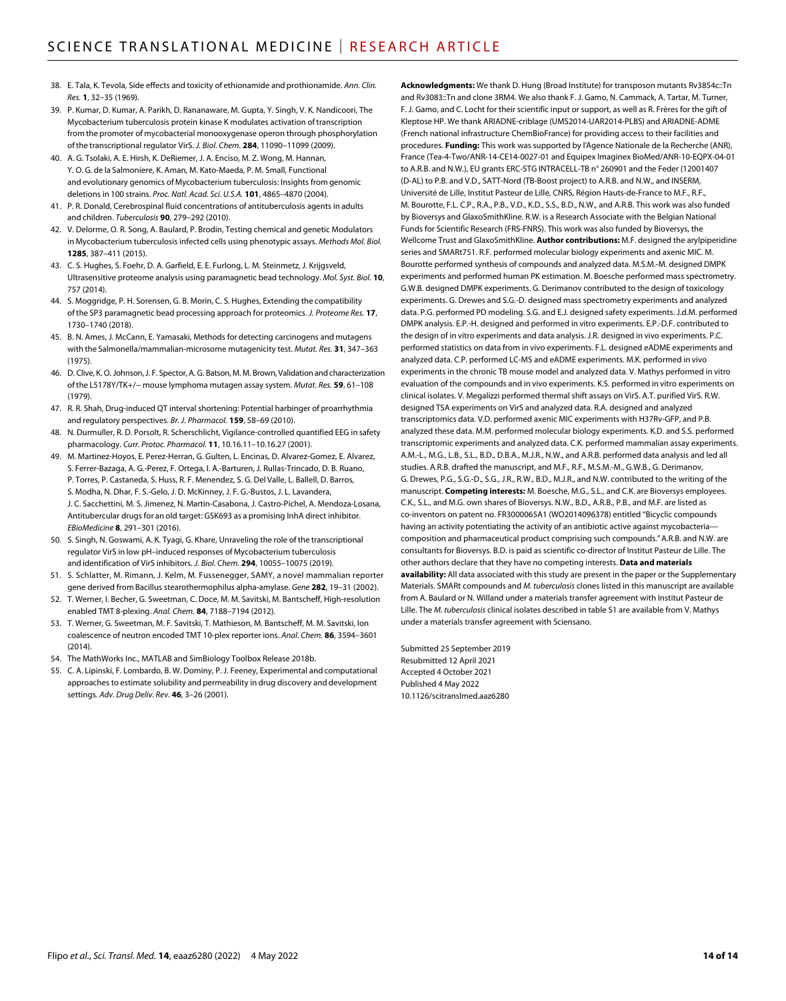- 38. E. Tala, K. Tevola, Side effects and toxicity of ethionamide and prothionamide. *Ann. Clin. Res.* **1**, 32–35 (1969).
- 39. P. Kumar, D. Kumar, A. Parikh, D. Rananaware, M. Gupta, Y. Singh, V. K. Nandicoori, The Mycobacterium tuberculosis protein kinase K modulates activation of transcription from the promoter of mycobacterial monooxygenase operon through phosphorylation of the transcriptional regulator VirS. *J. Biol. Chem.* **284**, 11090–11099 (2009).
- 40. A. G. Tsolaki, A. E. Hirsh, K. DeRiemer, J. A. Enciso, M. Z. Wong, M. Hannan, Y. O. G. de la Salmoniere, K. Aman, M. Kato-Maeda, P. M. Small, Functional and evolutionary genomics of Mycobacterium tuberculosis: Insights from genomic deletions in 100 strains. *Proc. Natl. Acad. Sci. U.S.A.* **101**, 4865–4870 (2004).
- 41. P. R. Donald, Cerebrospinal fluid concentrations of antituberculosis agents in adults and children. *Tuberculosis* **90**, 279–292 (2010).
- 42. V. Delorme, O. R. Song, A. Baulard, P. Brodin, Testing chemical and genetic Modulators in Mycobacterium tuberculosis infected cells using phenotypic assays. *Methods Mol. Biol.* **1285**, 387–411 (2015).
- 43. C. S. Hughes, S. Foehr, D. A. Garfield, E. E. Furlong, L. M. Steinmetz, J. Krijgsveld, Ultrasensitive proteome analysis using paramagnetic bead technology. *Mol. Syst. Biol.* **10**, 757 (2014).
- 44. S. Moggridge, P. H. Sorensen, G. B. Morin, C. S. Hughes, Extending the compatibility of the SP3 paramagnetic bead processing approach for proteomics. *J. Proteome Res.* **17**, 1730–1740 (2018).
- 45. B. N. Ames, J. McCann, E. Yamasaki, Methods for detecting carcinogens and mutagens with the Salmonella/mammalian-microsome mutagenicity test. *Mutat. Res.* **31**, 347–363  $(1975)$
- 46. D. Clive, K. O.Johnson, J. F. Spector, A. G. Batson, M. M. Brown, Validation and characterization of the L5178Y/TK+/− mouse lymphoma mutagen assay system. *Mutat. Res.* **59**, 61–108 (1979).
- 47. R. R. Shah, Drug-induced QT interval shortening: Potential harbinger of proarrhythmia and regulatory perspectives. *Br. J. Pharmacol.* **159**, 58–69 (2010).
- 48. N. Durmuller, R. D. Porsolt, R. Scherschlicht, Vigilance-controlled quantified EEG in safety pharmacology. *Curr. Protoc. Pharmacol.* **11**, 10.16.11–10.16.27 (2001).
- 49. M. Martinez-Hoyos, E. Perez-Herran, G. Gulten, L. Encinas, D. Alvarez-Gomez, E. Alvarez, S. Ferrer-Bazaga, A. G.-Perez, F. Ortega, I. A.-Barturen, J. Rullas-Trincado, D. B. Ruano, P. Torres, P. Castaneda, S. Huss, R. F. Menendez, S. G. Del Valle, L. Ballell, D. Barros, S. Modha, N. Dhar, F. S.-Gelo, J. D. McKinney, J. F. G.-Bustos, J. L. Lavandera, J. C. Sacchettini, M. S. Jimenez, N. Martin-Casabona, J. Castro-Pichel, A. Mendoza-Losana, Antitubercular drugs for an old target: GSK693 as a promising InhA direct inhibitor. *EBioMedicine* **8**, 291–301 (2016).
- 50. S. Singh, N. Goswami, A. K. Tyagi, G. Khare, Unraveling the role of the transcriptional regulator VirS in low pH–induced responses of Mycobacterium tuberculosis and identification of VirS inhibitors. *J. Biol. Chem.* **294**, 10055–10075 (2019).
- 51. S. Schlatter, M. Rimann, J. Kelm, M. Fussenegger, SAMY, a novel mammalian reporter gene derived from Bacillus stearothermophilus alpha-amylase. *Gene* **282**, 19–31 (2002).
- 52. T. Werner, I. Becher, G. Sweetman, C. Doce, M. M. Savitski, M. Bantscheff, High-resolution enabled TMT 8-plexing. *Anal. Chem.* **84**, 7188–7194 (2012).
- 53. T. Werner, G. Sweetman, M. F. Savitski, T. Mathieson, M. Bantscheff, M. M. Savitski, Ion coalescence of neutron encoded TMT 10-plex reporter ions. *Anal. Chem.* **86**, 3594–3601 (2014).
- 54. The MathWorks Inc., MATLAB and SimBiology Toolbox Release 2018b.
- 55. C. A. Lipinski, F. Lombardo, B. W. Dominy, P. J. Feeney, Experimental and computational approaches to estimate solubility and permeability in drug discovery and development settings. *Adv. Drug Deliv. Rev.* **46**, 3–26 (2001).

**Acknowledgments:** We thank D. Hung (Broad Institute) for transposon mutants Rv3854c::Tn and Rv3083::Tn and clone 3RM4. We also thank F. J. Gamo, N. Cammack, A. Tartar, M. Turner, F. J. Gamo, and C. Locht for their scientific input or support, as well as R. Frères for the gift of Kleptose HP. We thank ARIADNE-criblage (UMS2014-UAR2014-PLBS) and ARIADNE-ADME (French national infrastructure ChemBioFrance) for providing access to their facilities and procedures. **Funding:** This work was supported by l'Agence Nationale de la Recherche (ANR), France (Tea-4-Two/ANR-14-CE14-0027-01 and Equipex Imaginex BioMed/ANR-10-EQPX-04-01 to A.R.B. and N.W.), EU grants ERC-STG INTRACELL-TB n° 260901 and the Feder (12001407 (D-AL) to P.B. and V.D., SATT-Nord (TB-Boost project) to A.R.B. and N.W., and INSERM, Université de Lille, Institut Pasteur de Lille, CNRS, Région Hauts-de-France to M.F., R.F., M. Bourotte, F.L. C.P., R.A., P.B., V.D., K.D., S.S., B.D., N.W., and A.R.B. This work was also funded by Bioversys and GlaxoSmithKline. R.W. is a Research Associate with the Belgian National Funds for Scientific Research (FRS-FNRS). This work was also funded by Bioversys, the Wellcome Trust and GlaxoSmithKline. **Author contributions:** M.F. designed the arylpiperidine series and SMARt751. R.F. performed molecular biology experiments and axenic MIC. M. Bourotte performed synthesis of compounds and analyzed data. M.S.M.-M. designed DMPK experiments and performed human PK estimation. M. Boesche performed mass spectrometry. G.W.B. designed DMPK experiments. G. Derimanov contributed to the design of toxicology experiments. G. Drewes and S.G.-D. designed mass spectrometry experiments and analyzed data. P.G. performed PD modeling. S.G. and E.J. designed safety experiments. J.d.M. performed DMPK analysis. E.P.-H. designed and performed in vitro experiments. E.P.-D.F. contributed to the design of in vitro experiments and data analysis. J.R. designed in vivo experiments. P.C. performed statistics on data from in vivo experiments. F.L. designed eADME experiments and analyzed data. C.P. performed LC-MS and eADME experiments. M.K. performed in vivo experiments in the chronic TB mouse model and analyzed data. V. Mathys performed in vitro evaluation of the compounds and in vivo experiments. K.S. performed in vitro experiments on clinical isolates. V. Megalizzi performed thermal shift assays on VirS. A.T. purified VirS. R.W. designed TSA experiments on VirS and analyzed data. R.A. designed and analyzed transcriptomics data. V.D. performed axenic MIC experiments with H37Rv-GFP, and P.B. analyzed these data. M.M. performed molecular biology experiments. K.D. and S.S. performed transcriptomic experiments and analyzed data. C.K. performed mammalian assay experiments. A.M.-L., M.G., L.B., S.L., B.D., D.B.A., M.J.R., N.W., and A.R.B. performed data analysis and led all studies. A.R.B. drafted the manuscript, and M.F., R.F., M.S.M.-M., G.W.B., G. Derimanov, G. Drewes, P.G., S.G.-D., S.G., J.R., R.W., B.D., M.J.R., and N.W. contributed to the writing of the manuscript. **Competing interests:** M. Boesche, M.G., S.L., and C.K. are Bioversys employees. C.K., S.L., and M.G. own shares of Bioversys. N.W., B.D., A.R.B., P.B., and M.F. are listed as co-inventors on patent no. FR3000065A1 (WO2014096378) entitled "Bicyclic compounds having an activity potentiating the activity of an antibiotic active against mycobacteriacomposition and pharmaceutical product comprising such compounds." A.R.B. and N.W. are consultants for Bioversys. B.D. is paid as scientific co-director of Institut Pasteur de Lille. The other authors declare that they have no competing interests. **Data and materials availability:** All data associated with this study are present in the paper or the Supplementary Materials. SMARt compounds and *M. tuberculosis* clones listed in this manuscript are available from A. Baulard or N. Willand under a materials transfer agreement with Institut Pasteur de Lille. The *M. tuberculosis* clinical isolates described in table S1 are available from V. Mathys under a materials transfer agreement with Sciensano.

Submitted 25 September 2019 Resubmitted 12 April 2021 Accepted 4 October 2021 Published 4 May 2022 10.1126/scitranslmed.aaz6280